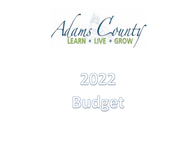



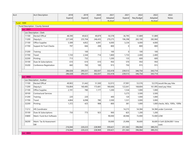|                          | Acct Description                    | 2018    | 2019    | 2020    | 2021    | 2021     | 2022       | 2022       | 2022                                     |
|--------------------------|-------------------------------------|---------|---------|---------|---------|----------|------------|------------|------------------------------------------|
|                          |                                     | Expend  | Expend  | Expend  | Adopted | Expend   | Req Budget | Adopted    | <b>Notes</b>                             |
| <b>Fund: 1000</b>        |                                     |         |         |         | Rudnet  |          |            | Rudnet     |                                          |
|                          | - Fund Description : County General |         |         |         |         |          |            |            |                                          |
| $-$ Loc: 0001            |                                     |         |         |         |         |          |            |            |                                          |
| $\overline{\phantom{a}}$ | Loc Description : Clerk             |         |         |         |         |          |            |            |                                          |
| 11100                    | Elected Offical                     | 48,390  | 49,823  | 49,879  | 50,378  | 36,795   | 51,889     | 51,889     |                                          |
| 11200                    | Deputy/s                            | 227,549 | 235,704 | 246,435 | 270,275 | 196,298  | 283,100    | 282,060    |                                          |
| 21100                    | Office Supplies                     | 5,589   | 4,852   | 4,091   | 6,000   | 3,234    | 6,000      | 4,000      |                                          |
| 21700                    | Support & Trust Checks              | 797     | 666     | 208     | 800     | $\Omega$ | 800        | 800        |                                          |
| 31200                    | Training                            |         | 100     |         | 100     | $\Omega$ | 100        | 100        |                                          |
| 31700                    | Travel                              | 1,720   | 2,344   | 714     | 1,800   | 1,733    | 2,400      | 2,400      |                                          |
| 32200                    | Printing                            | 713     | 732     |         | 1,200   | 133      | 600        | 600        |                                          |
| 35100                    | Dues & Subscriptions                | 610     | 610     | 610     | 950     | 570      | 950        | 950        |                                          |
| 35200                    | Conference Registration             | 660     | 700     | 100     | 915     | 750      | 915        | 915        |                                          |
|                          |                                     | 286,028 | 295,531 | 302,037 | 332,418 | 239,513  | 346,754    | 343,714    |                                          |
|                          |                                     | 286,028 | 295,531 | 302,037 | 332,418 | 239,513  | 346,754    | 343,714    |                                          |
| $-$ Loc : 0002           |                                     |         |         |         |         |          |            |            |                                          |
| $\overline{\phantom{a}}$ | Loc Description : Auditor           |         |         |         |         |          |            |            |                                          |
| 11100                    | Elected Offical                     | 49,903  | 51,442  | 51,500  | 52,015  | 37,991   | 53,576     |            | 53,576 would like pay hike               |
| 11200                    | Deputy/s                            | 156,804 | 160,485 | 173,681 | 180,606 | 122,641  | 168,804    |            | 161,995 need pay hikes                   |
| 21100                    | Office Supplies                     | 2,191   | 780     | 1,177   | 1,200   | 1,534    | 1,000      | 1,000      |                                          |
| 30100                    | <b>Contractural Services</b>        |         |         |         |         | 5,273    | 3,500      | 3,500      |                                          |
| 31200                    | Training                            | 220     | 220     |         | 400     | 120      | 1,000      | 1,000      |                                          |
| 31700                    | Travel                              | 4,804   | 6,098   | 780     | 3,500   | 1,531    | 3,000      | 3,000      |                                          |
| 32200                    | Printing                            | 1,372   | 425     | 908     | 800     | 381      | 1,000      |            | 1,000 checks, W2s, 1095c, 1099s          |
| 11212                    | HR Coordinator                      |         |         |         |         | 14,215   | 54,384     |            | 54,384 under Commish                     |
| 35100                    | Dues & Subscriptions                | 750     | 773     | 923     | 900     | 825      | 1,200      | 1,200      |                                          |
| 35800                    | Maint. Fund Acct Software           |         |         |         | 90,000  | 40,946   | 72,000     | 72,000 LOW |                                          |
| 36200                    | Maint. Tax & Assessment<br>lsw      |         |         |         | 30,000  | 25,906   | 36,600     |            | 36,600 X-Soft (\$204,000 1 time<br>cost) |
|                          |                                     | 216,044 | 220,223 | 228,969 | 359,421 | 251,363  | 396,064    | 389,255    |                                          |
|                          |                                     | 216,044 | 220,223 | 228,969 | 359,421 | 251,363  | 396,064    | 389,255    |                                          |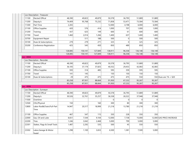|                                     | Loc Description : Treasurer       |         |         |         |          |              |          |          |                           |
|-------------------------------------|-----------------------------------|---------|---------|---------|----------|--------------|----------|----------|---------------------------|
| 11100                               | Elected Offical                   | 48,390  | 49,823  | 49,879  | 50,378   | 36,795       | 51,889   | 51,889   |                           |
| 11200                               | Deputy/s                          | 74,409  | 95,768  | 75,232  | 71,858   | 53,471       | 73,584   | 73,584   |                           |
| 11300                               | Part Time                         | 2,265   |         |         | 12,000   | 4,198        | 6,000    | 6,000    |                           |
| 21100                               | Office Supplies                   | 420     | 576     | 414     | 1,000    | 707          | 1,000    | 1,000    |                           |
| 31200                               | Training                          | 437     | 625     | 149     | 600      | 61           | 600      | 600      |                           |
| 31700                               | Travel                            | 1,460   | 2,014   | 1,266   | 1,400    | 637          | 1,400    | 1,400    |                           |
| 33700                               | Equipment Repair                  |         | 511     | 188     | 500      | $\mathbf 0$  | 500      | 500      |                           |
| 35100                               | Dues & Subscriptions              | 279     | 279     | 271     | 325      | $\mathbf{0}$ | 325      | 325      |                           |
| 35200                               | Conference Registration           | 425     | 545     | 450     | 850      | 489          | 850      | 850      |                           |
|                                     |                                   | 128,085 | 150,141 | 127,849 | 138,911  | 96,358       | 136,148  | 136,148  |                           |
|                                     |                                   | 128,085 | 150,141 | 127,849 | 138,911  | 96,358       | 136,148  | 136,148  |                           |
| $\overline{\phantom{a}}$ Loc : 0004 |                                   |         |         |         |          |              |          |          |                           |
|                                     | Loc Description : Recorder        |         |         |         |          |              |          |          |                           |
| 11100                               | Elected Offical                   | 48,390  | 49,823  | 49,879  | 50,378   | 36,795       | 51,889   | 51,889   |                           |
| 11200                               | Deputy/s                          | 36,105  | 37,174  | 37,825  | 40,352   | 29,453       | 42,083   | 42,083   |                           |
| 21100                               | Office Supplies                   | 593     | 314     | 485     | 595      | 359          | 595      | 595      |                           |
| 31700                               | Travel                            | 141     | 145     |         | 150      | 150          | 150      | 150      |                           |
| 35100                               | Dues & Subscriptions              | 29      | 475     | 475     | 475      | 475          | 550      |          | 550 Dues are 1% + \$20    |
|                                     |                                   | 85,258  | 87,931  | 88,664  | 91,950   | 67,232       | 95,267   | 95,267   |                           |
|                                     |                                   | 85,258  | 87,931  | 88,664  | 91,950   | 67,232       | 95,267   | 95,267   |                           |
| $\overline{C}$ Loc : 0006           |                                   |         |         |         |          |              |          |          |                           |
|                                     | Loc Description : Surveyor        |         |         |         |          |              |          |          |                           |
| 11100                               | Elected Offical                   | 48,390  | 49,823  | 49,879  | 50,378   | 36,795       | 51,889   | 51,889   |                           |
| 11200                               | Deputy/s                          | 30,526  | 32,761  | 35,257  | 36,338   | 26,522       | 37,948   | 37,948   |                           |
| 11500                               | Overtime                          |         |         |         | $\Omega$ | $\Omega$     | $\Omega$ | $\Omega$ |                           |
| 12500                               | CDL/Physical                      | 150     |         | 160     | 300      | 80           | 300      | 300      |                           |
| 12800                               | Labor Rod&Chain/Full-Part<br>Time | 14,947  | 20,317  | 18,999  | 21,218   | 13,780       | 21,218   | 21,218   |                           |
| 21100                               | Office Supplies                   | 467     | 547     | 115     | 350      | 228          | 350      | 350      |                           |
| 22000                               | Gas, Oil and Lube                 | 8,651   | 7,544   | 9,104   | 12,000   | 7,738        | 15,000   |          | 12,000 GAS PRICE INCREASE |
| 22200                               | <b>Tires</b>                      | 1,246   | 3,042   | 2,468   | 5,000    | 799          | 5,000    | 5,000    |                           |
| 22301                               | Stakes, Flags & Small Tools       | 1,487   | 2,292   | 535     | 500      | 45           | 550      | 550      |                           |
| 23302                               | Labor, Garage & Motor<br>Suppl    | 1,298   | 1,100   | 3,653   | 6,500    | 1,381        | 7,500    | 5,000    |                           |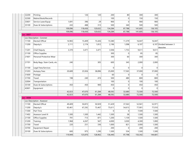| 32200     | Printing                     |         | 126     | 120     | 200         | 80       | 300      | 300     |                                     |
|-----------|------------------------------|---------|---------|---------|-------------|----------|----------|---------|-------------------------------------|
| 32300     | Rebind Book/Records          |         |         |         | 100         | 0        | 150      | 150     |                                     |
| 33601     | Service Laser/Equip          | 1,691   | 396     | 29      | 900         | 0        | 900      | 900     |                                     |
| 35100     | Dues & Subscriptions         | 243     | 488     | 313     | 500         | 340      | 500      | 500     |                                     |
|           |                              | 109,096 | 118,436 | 120,632 | 134,284     | 87,788   | 141,605  | 136,105 |                                     |
|           |                              | 109,096 | 118,436 | 120,632 | 134,284     | 87,788   | 141,605  | 136,105 |                                     |
| Loc: 0007 |                              |         |         |         |             |          |          |         |                                     |
|           | - Loc Description : Coroner  |         |         |         |             |          |          |         |                                     |
| 11100     | <b>Elected Offical</b>       | 14,965  | 15,409  | 15,426  | 15,580      | 11,379   | 16,047   | 16,047  |                                     |
| 11200     | Deputy/s                     | 2,111   | 2,174   | 1,812   | 2,196       | 1,098    | 6,107    |         | 6,107 Divided between 3<br>deputies |
| 11201     | <b>Chief Deputy</b>          | 3,370   | 3,471   | 3,471   | 3,506       | 1,753    | 9,611    | 9,611   |                                     |
| 21100     | Office Supplies              |         |         |         | 300         | 0        | 85       | 85      |                                     |
| 21601     | Personal Protective Wear     |         |         |         | 300         | 60       | 300      | 300     |                                     |
| 21701     | Body Bags, Stain Cards, etc. | 240     |         | 305     | 600         | 345      | 2,000    | 2,000   |                                     |
| 31100     | Legal Fees/Services          |         |         |         | 0           | 0        | 0        | 0       |                                     |
| 31203     | Autopsy Fees                 | 20,689  | 25,926  | 38,896  | 25,000      | 17,565   | 37,000   | 37,000  |                                     |
| 31600     | Postage                      |         |         |         | 60          | $\Omega$ | $\Omega$ | 0       |                                     |
| 31700     | Travel                       | 198     | 240     | 474     | 500         | 480      | 800      | 800     |                                     |
| 32004     | Transportation               |         |         |         | 100         | 0        | 100      | 100     |                                     |
| 35100     | Dues & Subscriptions         | 450     | 450     | 900     | 450         | 0        | 450      | 450     |                                     |
| 42601     | Equipment                    |         |         |         | 0           | 0        | 0        | 0       |                                     |
|           |                              | 42,023  | 47,670  | 61,284  | 48,592      | 32,680   | 72,500   | 72,500  |                                     |
|           |                              | 42,023  | 47,670  | 61,284  | 48,592      | 32,680   | 72,500   | 72,500  |                                     |
| Loc: 0008 |                              |         |         |         |             |          |          |         |                                     |
|           | - Loc Description : Assessor |         |         |         |             |          |          |         |                                     |
| 11100     | Elected Offical              | 49,409  | 50,872  | 50,929  | 51,429      | 37,563   | 52,941   | 52,971  |                                     |
| 11200     | Deputy/s                     | 65,461  | 67,292  | 73,467  | 75,611      | 54,613   | 77,901   | 77,010  |                                     |
| 11300     | Part Time                    |         |         |         | $\mathbf 0$ | 0        | 7,500    | 7,500   |                                     |
| 11402     | Assessor Level III           | 1,500   | 1,500   | 1,442   | 1,500       | 58       | 1,500    | 1,500   |                                     |
| 21100     | Office Supplies              | 791     | 713     | 871     | 1,200       | 1,159    | 1,500    | 1,500   |                                     |
| 31200     | Training                     | 1,968   | 4,267   | 567     | 4,000       | 3,030    | 4,300    | 1,000   |                                     |
| 31700     | Travel                       | 220     | 251     | 336     | 1,000       | 821      | 3,000    | 1,500   |                                     |
| 33700     | <b>Equipment Repair</b>      |         |         |         | 200         | 0        | 200      | 200     |                                     |
| 35100     | Dues & Subscriptions         | 600     | 975     | 1,290   | 1,500       | 554      | 1,500    | 1,500   |                                     |
|           |                              | 119,949 | 125,870 | 128,902 | 136,440     | 97,798   | 150,342  | 144,681 |                                     |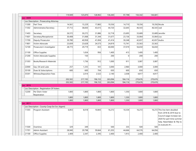|           |                                               | 119,949 | 125,870 | 128,902 | 136,440 | 97,798   | 150,342 | 144,681     |                                                |
|-----------|-----------------------------------------------|---------|---------|---------|---------|----------|---------|-------------|------------------------------------------------|
| Loc: 0009 |                                               |         |         |         |         |          |         |             |                                                |
|           | Loc Description : Prosecuting Attorney        |         |         |         |         |          |         |             |                                                |
| 11300     | Part Time                                     | 14,561  | 15,229  | 17,883  | 19,356  | 14,710   | 19,356  |             | 19,356 Nicole                                  |
| 11302     | Administrator/Secretary                       | 37,712  | 38,830  | 43,615  | 44,720  | 32,645   | 46,543  | 46,543 Jodi |                                                |
| 11403     | Secretary                                     | 26,572  | 30,272  | 31,886  | 32,718  | 23,695   | 33,689  |             | 33,689 Jennifer                                |
| 11601     | Secretary/Receptionist                        | 30,408  | 31,068  | 31,344  | 31,677  | 23,136   | 33,064  | 33,064 Lisa |                                                |
| 11700     | Deputy Prosecutor                             | 39,780  | 40,958  | 41,004  | 41,414  | 30,248   | 42,657  |             | 42,657 Audra                                   |
| 11801     | Victim Advocate                               | 23,839  | 23,628  | 24,573  | 24,819  | 15,741   | 25,563  | 25,563      |                                                |
| 12100     | Prosecutor's Investigator                     | 28,773  | 29,719  | 653     | 60,000  | 37,019   | 56,650  | 56,650      |                                                |
| 21100     | Office Supplies                               |         | 1,654   | 956     | 1,400   | 413      | 1,400   | 1,400       |                                                |
| 21200     | Victim Advocate Supplies                      |         | 150     |         | 200     | $\Omega$ | 200     | 200         |                                                |
| 21303     | <b>Books/Research Materials</b>               |         | 1,736   | 912     | 1,000   | 911      | 3,087   | 3,087       |                                                |
| 22000     | Gas, Oil and Lube                             | 257     | 1,335   | 101     | 3,000   | 2,960    | 3,000   | 3,000       |                                                |
| 35100     | Dues & Subscriptions                          | 600     | 600     | 704     | 650     | 600      | 650     | 650         |                                                |
| 35301     | Witness/Deposition Fees                       |         | 2,014   | 2,522   | 2,140   | 2,038    | 4,817   | 4,817       |                                                |
|           |                                               | 202,502 | 217,193 | 196,153 | 263,094 | 184,116  | 270,676 | 270,676     |                                                |
|           |                                               | 202,502 | 217,193 | 196,153 | 263,094 | 184,116  | 270,676 | 270,676     |                                                |
| Loc: 0010 |                                               |         |         |         |         |          |         |             |                                                |
|           | Loc Description : Registration Of Voters      |         |         |         |         |          |         |             |                                                |
| 12200     | Per Diem-Voter                                | 1,800   | 1,800   | 1,800   | 1,800   | 1,350    | 1,800   | 1,800       |                                                |
|           | Registration                                  | 1,800   | 1,800   | 1,800   | 1,800   | 1,350    | 1,800   | 1,800       |                                                |
|           |                                               | 1,800   | 1,800   | 1,800   | 1,800   | 1,350    | 1,800   | 1,800       |                                                |
| Loc: 0011 |                                               |         |         |         |         |          |         |             |                                                |
|           | Loc Description : County Coop Ext Svc (Agent) |         |         |         |         |          |         |             |                                                |
| 11303     | Program Assistant                             | 6,853   | 8,018   | 10,843  | 16,272  | 10,334   | 16,272  |             | 16,272 This line item doubled                  |
|           |                                               |         |         |         |         |          |         |             | from 2018 & 2019 due to                        |
|           |                                               |         |         |         |         |          |         |             | Council wage increase Jan.                     |
|           |                                               |         |         |         |         |          |         |             | 2020 for part time summer                      |
|           |                                               |         |         |         |         |          |         |             | help. Need Baker & Tilly to<br>re-evaluate #'s |
| 11500     | Overtime                                      | 329     | 349     |         | 500     | 335      | 500     | 500         |                                                |
| 11701     | Admin Assistant                               | 28,940  | 29,798  | 59,664  | 61,203  | 44,666   | 64,576  | 64,056      |                                                |
| 21100     | Office Supplies                               | 2,409   | 2,347   | 2,395   | 2,400   | 1,913    | 2,400   | 2,400       |                                                |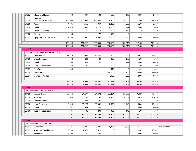| 21602                     | <b>Educational Lesson</b><br>Supplies        | 330     | 397     | 500     | 500            | 113            | 1,600    | 1,600    |                    |
|---------------------------|----------------------------------------------|---------|---------|---------|----------------|----------------|----------|----------|--------------------|
| 30100                     | <b>Contractural Services</b>                 | 108,960 | 111,695 | 114,500 | 114,500        | 114,500        | 117,940  | 117,940  |                    |
| 31600                     | Postage                                      | 4,705   | 4,455   | 4,947   | 5,200          | 4,305          | 5,200    | 5,200    |                    |
| 31700                     | Travel                                       | 7,820   | 5,899   | 4,226   | 6,000          | 3,247          | 6,000    | 6,000    |                    |
| 31903                     | <b>Educator Training</b>                     | 343     | 569     | 513     | 600            | 143            | 0        | 0        |                    |
| 32200                     | Printing                                     | 500     |         | 177     | 500            | $\Omega$       | $\Omega$ | $\Omega$ |                    |
| 34101                     | Equipment Rental/Lease                       | 2,260   | 2,690   | 3,090   | 3,000          | 2,660          | 3,000    | 3,000    |                    |
|                           |                                              | 163,449 | 166,217 | 200,855 | 210,675        | 182,216        | 217,488  | 216,968  |                    |
|                           |                                              | 163,449 | 166,217 | 200,855 | 210,675        | 182,216        | 217,488  | 216,968  |                    |
| $\blacksquare$ Loc : 0012 |                                              |         |         |         |                |                |          |          |                    |
|                           | - Loc Description : Veterans Service Officer |         |         |         |                |                |          |          |                    |
| 11101                     | Service Officer                              | 17,125  | 17,632  | 23,431  | 23,900         | 17,551         | 24,617   | 24,617   |                    |
| 21100                     | Office Supplies                              | 32      | 201     | 29      | 200            | 175            | 200      | 200      |                    |
| 31700                     | Travel                                       | 709     | 801     | 41      | 1,000          | 122            | 1,000    | 1,000    |                    |
| 35100                     | Dues & Subscriptions                         | 20      | 20      |         | 100            | 20             | 100      | 100      |                    |
| 35203                     | VetraSpec                                    | 449     |         |         | 449            | 0              | 449      | 449      |                    |
| 36100                     | Solider Burial                               |         |         |         | 38,000         | 33,200         | 38,000   | 38,000   |                    |
| 36201                     | Memorial Day Expenses                        |         |         |         | 4,000          | 4,080          | 4,000    | 4,000    |                    |
|                           |                                              | 18,335  | 18,654  | 23,501  | 67,649         | 55,148         | 68,366   | 68,366   |                    |
|                           |                                              | 18,335  | 18,654  | 23,501  | 67,649         | 55,148         | 68,366   | 68,366   |                    |
| $-$ Loc : 0061            |                                              |         |         |         |                |                |          |          |                    |
|                           | Loc Description : County Council             |         |         |         |                |                |          |          |                    |
| 11100                     | <b>Elected Offical</b>                       | 69,654  | 71,677  | 71,378  | 73,484         | 53,672         | 75,689   | 75,689   |                    |
| 11600                     | Attorney                                     | 5,036   | 5,185   | 5,191   | 30,470         | 10,584         | 15,450   | 15,450   |                    |
| 21100                     | Office Supplies                              |         | 278     | 121     | 50             | 0              | 120      | 120      |                    |
| 31100                     | Legal Fees/Services                          | 8,619   | 15,223  | 20,051  | 2,000          | 3,448          | 15,000   | 15,000   |                    |
| 31700                     | Travel                                       | 667     | 1,685   | 453     | 2,000          | 0              | 2,000    | 2,000    |                    |
| 35100                     | Dues & Subscriptions                         | 185     | 130     | 290     | 300            | 140            | 300      | 300      |                    |
|                           |                                              | 84,161  | 94,178  | 97,484  | 108,304        | 67,844         | 108,559  | 108,559  |                    |
|                           |                                              | 84,161  | 94,178  | 97,484  | 108,304        | 67,844         | 108,559  | 108,559  |                    |
| Loc:0062                  |                                              |         |         |         |                |                |          |          |                    |
|                           | Loc Description : Election Board             |         |         |         |                |                |          |          |                    |
| 11501                     | Members (3)                                  | 9,225   | 9,225   | 9,225   | 9,225          | 5,638          | 10,147   |          | 9,225 10% increase |
| 11603                     | Absentee/Travel Board                        | 8,738   | 2,973   | 8,520   | $\overline{0}$ | 0              | 10,282   | 10,282   |                    |
| 11703                     | Inspectors                                   | 1,800   | 600     | 1,800   | $\overline{0}$ | $\overline{0}$ | 3,000    | 3,000    |                    |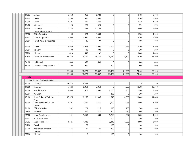| 11803          | Judges                           | 5,760  | 960    | 6,720  | 0        | 0        | 9,408   | 9,408  |  |
|----------------|----------------------------------|--------|--------|--------|----------|----------|---------|--------|--|
| 11902          | Clerks                           | 3,360  | 960    | 3,360  | 0        | 0        | 5,348   | 5,348  |  |
| 12300          | Meals                            | 1,305  | 300    | 1,440  | 0        | 0        | 1,320   | 1,320  |  |
| 12400          | Alternates                       | 225    | 225    | 325    | 0        | 0        | 375     | 375    |  |
| 12600          | Counting<br>Center/Prep/Co.Empl  | 4,344  | 1,364  | 10,188 | 0        | 0        | 4,400   | 4,400  |  |
| 21100          | Office Supplies                  | 109    | 923    | 3,309  | 0        | 0        | 1,500   | 1,500  |  |
| 31302          | On-Site Operator                 | 5,900  | 2,950  | 6,000  | 0        | 0        | 6,200   | 6,200  |  |
| 31601          | Travel-Poles & Absentee          | 15     | 45     | 97     | 0        | 0        | 100     | 100    |  |
| 31700          | Travel                           | 1,659  | 2,003  | 1,991  | 2,200    | 518      | 2,200   | 2,200  |  |
| 31801          | Delivery                         | 300    | 100    | 300    | 0        | 0        | 300     | 300    |  |
| 32200          | Printing                         | 413    | 640    | 1,132  | 0        | 0        | 1,000   | 1,000  |  |
| 32800          | Computer Maintenance             | 13,750 | 13,750 | 13,750 | 14,750   | 15,100   | 16, 100 | 16,100 |  |
| 34102          | Poll Rental                      | 880    | 360    | 680    | 0        | 0        | 880     | 880    |  |
| 35200          | Conference Registration          | 700    | 900    |        | 900      | 0        | 900     | 900    |  |
|                |                                  | 58,483 | 38,278 | 68,837 | 27,075   | 21,256   | 73,460  | 72,538 |  |
|                |                                  | 58,483 | 38,278 | 68,837 | 27,075   | 21,256   | 73,460  | 72,538 |  |
| Loc: 0063      |                                  |        |        |        |          |          |         |        |  |
|                | Loc Description : Drainage Board |        |        |        |          |          |         |        |  |
| 11200          | Deputy/s                         | 28,674 | 29,524 |        | 0        | 0        | 0       | 0      |  |
| 11600          | Attorney                         | 7,824  | 8,051  | 8,060  | $\Omega$ | 7,233    | 10,300  | 10,300 |  |
| 11804          | Board Member                     | 1,800  | 1,575  | 1,350  | 2,200    | 955      | 2,200   | 2,200  |  |
| 12801          | Per Diem                         |        |        |        | 200      | 0        | 200     | 200    |  |
| 13100          | Drain Brd Asst/Full-Part<br>Time | 10,576 | 10,266 | 11,986 | 11,646   | 6,063    | 11,646  | 11,646 |  |
| 13200          | Mauwee/Wab.Riv Basin<br>Comm     | 1,595  | 1,375  | 1,375  | 1,700    | 935      | 1,800   | 1,800  |  |
| 21100          | Office Supplies                  | 342    | 1,271  | 216    | 830      | 158      | 500     | 500    |  |
| 24400          | Uniforms                         |        | 260    | 315    | 400      | 260      | 500     | 500    |  |
| 31100          | Legal Fees/Services              | 341    | 1,458  | 583    | 9,766    | 627      | 1,600   | 1,600  |  |
| 31207          |                                  |        |        |        | 100      | 0        | 100     | 100    |  |
|                | <b>Application Fees</b>          |        |        |        |          |          |         |        |  |
|                | <b>Engineering Fees</b>          | 1,425  | 1,388  |        | 2,845    | 1,825    | 3,000   | 3,000  |  |
| 31303<br>31700 | Travel                           |        | 75     |        | 100      | 0        | 100     | 100    |  |
| 32100          | Publication of Legal             | 136    | 95     | 141    | 400      | $\Omega$ | 400     | 400    |  |
| 32200          | Notices<br>Printing              |        | 0      |        | 100      | 0        | 100     | 100    |  |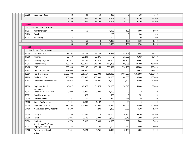| 33700     | Equipment Repair                       | 40 <sup>°</sup> | 31        | 159       | 300       | 0         | 300       | 300       |  |
|-----------|----------------------------------------|-----------------|-----------|-----------|-----------|-----------|-----------|-----------|--|
|           |                                        | 52,753          | 55,369    | 24,185    | 30,587    | 18,056    | 32,746    | 32,746    |  |
|           |                                        | 52,753          | 55,369    | 24,185    | 30,587    | 18,056    | 32,746    | 32,746    |  |
| Loc: 0066 |                                        |                 |           |           |           |           |           |           |  |
|           | - Loc Description : PTABOA Board       |                 |           |           |           |           |           |           |  |
| 11804     | Board Member                           | 100             | 150       |           | 1,000     | 150       | 1,000     | 1,000     |  |
| 31700     | Travel                                 |                 |           |           | 200       | 0         | 200       | 200       |  |
| 32201     | Advertising                            | 5               |           |           | 100       | 0         | 100       | 100       |  |
|           |                                        | 105             | 150       | 0         | 1,300     | 150       | 1,300     | 1,300     |  |
|           |                                        | 105             | 150       | 0         | 1,300     | 150       | 1,300     | 1,300     |  |
| Loc: 0068 |                                        |                 |           |           |           |           |           |           |  |
|           | Loc Description : Commissioners        |                 |           |           |           |           |           |           |  |
| 11100     | Elected Offical                        | 72,592          | 74,703    | 75,749    | 76,545    | 55,908    | 78,841    | 78,841    |  |
| 11600     | Attorney                               | 28,363          | 29,203    | 29,236    | 0         | 25,355    | 36,050    | 36,050    |  |
| 11805     | Highway Engineer                       | 75,671          | 78,192    | 95,319    | 96,960    | 40,985    | 99,869    | 0         |  |
| 12301     | Social Security                        | 403,230         | 433,260   | 346,194   | 461,306   | 260,935   | 395,000   | 365,000   |  |
| 12402     | PERF                                   | 508,099         | 553,132   | 496,169   | 533,937   | 390,125   | 560,000   | 550,000   |  |
| 12502     | Sheriff Retirement                     | 163,000         | 163,000   |           | $\Omega$  | $\Omega$  | 186,614   | 186,614   |  |
| 12601     | Health Insurance                       | 2,000,000       | 1,666,667 | 1,500,000 | 2,000,000 | 1,166,667 | 1,850,000 | 1,850,000 |  |
| 12700     | Workman's Comp                         | 150,000         | 100,000   | 150,000   | 100,000   | 100,000   | 100,000   | 100,000   |  |
| 12803     | Other Employee Insurances              | 31,033          | 22,722    | 18,005    | 35,000    | 12,899    | 20,000    | 20,000    |  |
| 12900     | Employee Suppl<br>Retirement           | 45,427          | 48,075    | 51,675    | 50,000    | 38,610    | 53,000    | 53,000    |  |
| 13001     | Office & Miscellaneous                 | 20,000          | 20,000    | 20,000    | 20,000    | 0         | $\Omega$  | 0         |  |
| 13201     | <b>EMA Life Insurance</b>              |                 | 525       |           | 525       | 0         | 525       | 525       |  |
| 21100     | Office Supplies                        | 227             | 150       | 172       | 250       | 215       | 250       | 250       |  |
| 31000     | Sheriff Tax Warrants                   | 8,341           | 7,948     | 6,102     | $\Omega$  | 29        | $\Omega$  | $\Omega$  |  |
| 31100     | Legal Fees/Services                    | 126,764         | 102,642   | 76,601    | 129,528   | 46,881    | 130,000   | 100,000   |  |
| 31400     | Preservation of Cty Records            | 1,200           |           | 1,200     | 1,200     | 1,200     | 1,200     | 1,200     |  |
| 31600     | Postage                                | 54,389          | 45,488    | 45,279    | 60,000    | 30,236    | 53,500    | 53,500    |  |
| 31700     | Travel                                 | 2,986           | 2,500     | 2,097     | 3,000     | 3,848     | 6,000     | 6,000     |  |
| 31904     | PostMeter<br>Rent/Repair/CpyPaper      | 4,779           | 5,418     | 3,040     | 6,000     | 3,550     | 5,000     | 5,000     |  |
| 32001     | Employee Training                      | 2,226           |           | 500       | 1,000     | 219       | 3,000     | 3,000     |  |
| 32100     | Publication of Legal<br><b>Notices</b> | 4,651           | 5,423     | 5,761     | 6,000     | 2,143     | 6,000     | 6,000     |  |
|           |                                        |                 |           |           |           |           |           |           |  |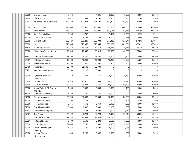| 32600 | Unemployment                       | 5,014   |         | 1,235   | 5,000    | 8,588    | 10,000   | 10,000   |  |
|-------|------------------------------------|---------|---------|---------|----------|----------|----------|----------|--|
| 32700 | Offical Bonds                      | 2,412   | 1,594   | 2,190   | 2,500    | 930      | 2,500    | 2,500    |  |
| 32801 | Insurance Bldg & Structure         | 370,122 | 420,917 | 414,190 | 491,400  | 458,432  | 500,000  | 500,000  |  |
| 33000 | <b>Bond Principal</b>              | 745,000 | 380,000 | 785,000 | 805,000  | 400,000  | 420,000  | 420,000  |  |
| 33101 | <b>Bond Interest</b>               | 563,286 | 272,243 | 533,000 | 503,537  | 254,768  | 232,269  | 232,269  |  |
| 33200 | <b>Bond Custodial Fees</b>         | 5,699   | 4,757   |         | 5,464    | 2,232    | 6,732    | 6,732    |  |
| 35100 | Dues & Subscriptions               | 4,292   | 6,791   | 4,186   | 6,000    | 5,829    | 6,000    | 6,000    |  |
| 35205 | Mental Health                      | 222,723 | 229,229 | 237,908 | 247,420  | 123,841  | 257,985  | 257,985  |  |
| 35302 | <b>EMS</b>                         | 375,855 | 375,855 | 375,855 | 375,855  | 281,891  | 378,855  | 378,855  |  |
| 35400 | <b>Bi-County Services</b>          | 39,312  | 39,312  | 39,312  | 39,312   | 29,484   | 41,280   | 41,280   |  |
| 35600 | Private Inst/Secure Detent.        | 73,630  | 78,840  | 59,010  | 75,000   | 42,200   | 75,000   | 75,000   |  |
| 35801 | 4-H Bldg Maintenance               | 13,500  | 13,500  | 13,500  | 13,500   | 13,500   | 13,500   | 13,500   |  |
| 35901 | 4-H Council Budget                 | 16,200  | 16,200  | 16,200  | 16,200   | 16,200   | 16,200   | 16,200   |  |
| 36000 | Soil & Water District              | 13,300  | 13,300  | 13,300  | 13,300   | 13,300   | 15,000   | 15,000   |  |
| 36100 | Solider Burial                     | 26,300  | 25,100  | 30,700  | 0        | $\Omega$ | 0        | 0        |  |
| 36201 | <b>Memorial Day Expenses</b>       | 3,160   | 3,116   | 3,390   | $\Omega$ | $\Omega$ | $\Omega$ | $\Omega$ |  |
| 36300 | St, Mary Wabsh River<br>Cleanup    | 359     | 2,438   | 2,171   | 10,000   | 8,181    | 20,000   | 10,000   |  |
| 36400 | <b>Tax Refunds</b>                 | 2,923   | 20,577  | 81,034  | 40,000   | 6,725    | 40,000   | 40,000   |  |
| 36600 | Exam of Records                    | 52,576  | 36,833  | 79,731  | 50,000   | 55,320   | 80,000   | 75,000   |  |
| 36800 | Upper Wabash RB Comm-<br>Office Ex | 1,000   | 1,000   | 1,000   | 1,000    | 3,125    | 1,000    | 1,000    |  |
| 36900 | St. Mary's River Gauge             | 5,560   | 2,780   | 2,780   | 3,000    | $\Omega$ | 3,000    | 3,000    |  |
| 37000 | Council on Aging                   | 29,750  | 30,000  | 30,000  | 30,000   | 22,800   | 35,000   | 35,000   |  |
| 37100 | <b>County Promotions</b>           | 105     | 105     |         | 200      | 205      | 1,200    | 200      |  |
| 37200 | Fees & Penalties                   | 2,356   | 612     | 6,363   | 3,000    | 7,509    | 10,000   | 10,000   |  |
| 37300 | <b>Cost Allocation Plan</b>        | 5,000   | 10,000  | 5,000   | 5,000    | 5,000    | 5,000    | 5,000    |  |
| 37501 | Maintenance Property               |         | 1,598   | 8,896   | 2,500    | 2,431    | 5,000    | 5,000    |  |
| 37901 | Dog Pound                          | 40,492  | 40,723  | 40,720  | 45,000   | 39,714   | 60,000   | 60,000   |  |
| 38101 | Maumee River Basin                 | 22,544  | 22,544  | 22,544  | 24,750   | 22,544   | 24,750   | 24,750   |  |
| 38201 | <b>Historical Society</b>          | 3,600   | 3,600   | 7,200   | 3,600    | 3,600    | 10,000   | 10,000   |  |
| 38300 | <b>Consulting Fees</b>             | 22,450  | 19,150  | 3,000   | 2,500    | 6,310    | 10,000   | 10,000   |  |
| 39300 | Comm Corr Indigent<br>Fundina      | 5,513   | 1,135   | 6,397   | 5,000    | 4,238    | 5,000    | 5,000    |  |
| 42100 | Unicorp Comm<br>Infrastructure     | 890     | 2,200   | 2,847   | 5,000    | 600      | 5,000    | 5,000    |  |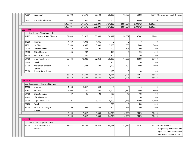| 42601          | Equipment                              | 35,090    | 24,579    | 30,133    | 25,000         | 16,789    | 160,000   |           | 160,000 Sureyor new truck & trailer |
|----------------|----------------------------------------|-----------|-----------|-----------|----------------|-----------|-----------|-----------|-------------------------------------|
| 42701          | <b>Hospital Ambulance</b>              | 55,000    | 55,000    | 55,000    | 55,000         | 55,000    | 55,000    | 0         |                                     |
|                |                                        | 6,467,991 | 5,514,676 | 5,836,891 | 6,491,289      | 4,091,091 | 6,090,120 | 5,849,251 |                                     |
|                |                                        | 6,467,991 | 5,514,676 | 5,836,891 | 6,491,289      | 4,091,091 | 6,090,120 | 5,849,251 |                                     |
| $-$ Loc : 0079 |                                        |           |           |           |                |           |           |           |                                     |
|                | - Loc Description : Plan Commission    |           |           |           |                |           |           |           |                                     |
| 11203          | 1st Deputy & Asst Director             | 31,030    | 31,925    | 35,349    | 36,317         | 26,507    | 37,882    | 37,882    |                                     |
| 11600          | Attorney                               | 4,849     | 4,993     | 1,346     | $\overline{0}$ | 0         | 0         | 0         |                                     |
| 12801          | Per Diem                               | 3,550     | 4,950     | 3,400     | 5,000          | 1,850     | 5,000     | 5,000     |                                     |
| 21100          | Office Supplies                        | 379       | 464       | 790       | 500            | 196       | 500       | 500       |                                     |
| 21202          | <b>Official Records</b>                | 236       | 282       |           | 350            | 0         | 350       | 350       |                                     |
| 22000          | Gas, Oil and Lube                      | 177       | 460       |           | 500            | 0         | 500       | 500       |                                     |
| 31100          | Legal Fees/Services                    | 22,134    | 18,080    | 27,058    | 30,000         | 14,266    | 20,000    | 20,000    |                                     |
| 31700          | Travel                                 |           |           |           | 300            | 0         | 300       | 300       |                                     |
| 32100          | Publication of Legal<br>Notices        | 1,155     | 1,487     | 703       | 2,000          | 407       | 2,000     | 2,000     |                                     |
| 35100          | Dues & Subscriptions                   |           |           |           | 100            | 0         | 100       | 100       |                                     |
|                |                                        | 63,510    | 62,641    | 68,646    | 75,067         | 43,226    | 66,632    | 66,632    |                                     |
|                |                                        | 63,510    | 62,641    | 68,646    | 75,067         | 43,226    | 66,632    | 66,632    |                                     |
| $-$ Loc: 0101  |                                        |           |           |           |                |           |           |           |                                     |
|                | - Loc Description : Planning & Zoning  |           |           |           |                |           |           |           |                                     |
| 11600          | Attorney                               | 1,958     | 2,017     | 544       | 0              | 0         | 0         | 0         |                                     |
| 12801          | Per Diem                               | 1,900     | 2,700     | 2,200     | 3,000          | 1,750     | 3,000     | 3,000     |                                     |
| 21100          | Office Supplies                        | 137       | 96        | 190       | 190            | 45        | 190       | 190       |                                     |
| 21202          | <b>Official Records</b>                |           |           |           | 100            | 0         | 100       | 100       |                                     |
| 31100          | Legal Fees/Services                    | 2,605     |           | 6,165     | 20,000         | 4,715     | 20,000    | 20,000    |                                     |
| 31700          | Travel                                 |           |           |           | 200            | 0         | 200       | 200       |                                     |
| 32100          | Publication of Legal<br><b>Notices</b> | 399       | 699       | 254       | 800            | 219       | 800       | 800       |                                     |
|                |                                        | 6,999     | 5,512     | 9,353     | 24,290         | 6,729     | 24,290    | 24,290    |                                     |
|                |                                        | 6,999     | 5,512     | 9,353     | 24,290         | 6,729     | 24,290    | 24,290    |                                     |
| $-$ Loc: 0201  |                                        |           |           |           |                |           |           |           |                                     |
|                | Loc Description : Superior Court       |           |           |           |                |           |           |           |                                     |
| 11204          | Court Admin/Court                      | 38,637    | 39,781    | 43,652    | 44,741         | 32,659    | 51,293    |           | 49,816 Carrie Freeman:              |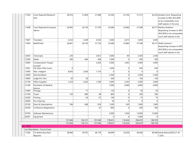| 11304          | Court Reporter/Research<br>Asst  | 28,576  | 31,894  | 31,948  | 32,594   | 23,794         | 37,315         |                | 36,234 Janalee Hurst: Requesting<br>increase to NE5 (\$35,838)<br>to be comparable court                                                          |
|----------------|----------------------------------|---------|---------|---------|----------|----------------|----------------|----------------|---------------------------------------------------------------------------------------------------------------------------------------------------|
| 11408          | Court Reporter/Computer<br>Admin | 26,083  | 26,750  | 31,750  | 32,698   | 23,866         | 37,398         |                | staff salaries in the area<br>36,317 Marilyn Andrews:<br>Requesting increase to NE5<br>(\$35,838) to be comparable<br>court staff salaries in the |
| 11807          | Translator                       | 4,234   | 3,389   | 4,556   | 5,000    | 2,815          | 5,000          | 5,000          |                                                                                                                                                   |
| 11904          | Bailiff/Clerk                    | 26,841  | 26,750  | 31,750  | 32,698   | 23,866         | 37,398         |                | 36,317 Shelly Landrum:<br>Requesting increase to NE5<br>(\$35,838) to be comparable<br>court staff salaries in the                                |
| 12003          | Transcripts                      | 230     |         | 3,812   | 3,000    | 80             | 2,500          | 2,500          |                                                                                                                                                   |
| 12300          | Meals                            | 300     | 666     | 438     | 1,000    | $\overline{0}$ | 500            | 500            |                                                                                                                                                   |
| 12804          | Compensation-Pauper<br>Counsel   |         |         | 5,200   | 5,000    | 1,602          | 5,000          | 5,000          |                                                                                                                                                   |
| 12901          | Per Diem-Petit Jurors            | 0       |         |         | 1,000    | 0              | 500            | 500            |                                                                                                                                                   |
| 13400          | Misc. Indigent                   | 8,950   | 2,650   | 1,710   | 0        | 0              | $\overline{0}$ | $\overline{0}$ |                                                                                                                                                   |
| 13800          | GAL/Facilitator                  |         |         |         | 2,500    | 0              | 2,500          | 2,500          |                                                                                                                                                   |
| 14000          | Judge Pro Tem                    | 50      | 50      |         | 300      | 0              | 150            | 150            |                                                                                                                                                   |
| 21100          | Office Supplies                  | 2,229   | 2,582   | 1,766   | 3,000    | 2,263          | 3,000          | 3,000          |                                                                                                                                                   |
| 31206          | Psychiatric & Medical<br>Service |         |         |         | 7,000    | 4,000          | 4,000          | 4,000          |                                                                                                                                                   |
| 31600          | Postage                          |         | 77      |         | 150      | 0              | 50             | 50             |                                                                                                                                                   |
| 31700          | Travel                           | 130     | 890     | 48      | 800      | 0              | 300            | 300            |                                                                                                                                                   |
| 32200          | Printing                         |         | 64      | 67      | 100      | 0              | 75             | 75             |                                                                                                                                                   |
| 34000          | Dry Cleaning                     |         |         |         | 50       | 0              | $\overline{0}$ | $\overline{0}$ |                                                                                                                                                   |
| 35100          | Dues & Subscriptions             | 784     | 608     | 818     | 1,200    | 430            | 1,000          | 1,000          |                                                                                                                                                   |
| 35200          | Conference Registration          |         |         | 25      | 800      | 0              | 500            | 500            |                                                                                                                                                   |
| 35700          | Software Maintenance             |         |         |         | 5,000    | 1,059          | 13,000         | 13,000         |                                                                                                                                                   |
| 42601          | Equipment                        |         |         |         | $\Omega$ | $\Omega$       | 5,000          | $\Omega$       |                                                                                                                                                   |
|                |                                  | 137,044 | 136,151 | 157,540 | 178,631  | 116,434        | 206,479        | 196,759        |                                                                                                                                                   |
|                |                                  | 137,044 | 136,151 | 157,540 | 178,631  | 116,434        | 206,479        | 196,759        |                                                                                                                                                   |
| $-$ Loc : 0232 |                                  |         |         |         |          |                |                |                |                                                                                                                                                   |
|                | Loc Description : Circuit Court  |         |         |         |          |                |                |                |                                                                                                                                                   |
| 11206          | Crt Admin/Sec/Asst<br>Reporter   | 38,666  | 39,781  | 46,179  | 44,699   | 32,630         | 46,446         |                | 46,446 Sandy Brown/\$563.21 @<br>1.26%                                                                                                            |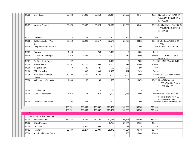| 11305         | Chief Reporter                    | 33,838  | 34,839  | 35,462  | 36,317          | 26,507  | 39,437   |                | 40,331 Nan Johnson/\$457.59 @                                              |
|---------------|-----------------------------------|---------|---------|---------|-----------------|---------|----------|----------------|----------------------------------------------------------------------------|
|               |                                   |         |         |         |                 |         |          |                | 1.26% BUT REQUESTING                                                       |
|               |                                   |         |         |         |                 |         |          |                | \$39,437.00                                                                |
| 11409         | <b>Assistant Reporter</b>         | 30,479  | 31,382  | 31,929  | 32,635          | 23,822  | 35,485   |                | 36,275 Kari Burkholder/\$411.20 @                                          |
|               |                                   |         |         |         |                 |         |          |                | 1.26% BUT REQUESTING                                                       |
|               |                                   |         |         |         |                 |         |          |                | \$35,485.00                                                                |
| 11707         | Translator                        | 434     | 1,137   | 180     | 800             | 120     | 300      | 300            |                                                                            |
| 11808         | Bailiff/Asst Admin/Asst           | 26,250  | 27,028  | 25,617  | 32,573          | 23,779  | 33,862   |                | 33,862 Molly Butler/\$410.42 @                                             |
|               | Report                            |         |         |         |                 |         |          |                | 1.26%                                                                      |
| 11905         | Temp Asst Court Reporter          |         |         |         | 500             | 0       | 500      |                | 500 2020 NO TRIALS COVID                                                   |
| 12003         | Transcripts                       | 1,540   |         | 750     | 1,000           | 0       | 1,000    | 1,000          |                                                                            |
| 12804         | Compensation-Pauper               | 5,978   | 13,435  | 6,110   | 15,000          | 495     | 13,000   |                | 13,000 \$2,000 to Psychiatric &                                            |
|               | Counsel                           |         |         |         |                 |         |          |                | <b>Medical Service</b>                                                     |
| 12901         | Per Diem-Petit Jurors             | 292     |         |         | 2,000           | 0       | 2,000    |                | 2,000 2020 NO TRIALS COVID                                                 |
| 13800         | GAL/Facilitator                   | 33,367  | 27,120  | 8,999   | 30,000          | 25,397  | 30,000   | 30,000         |                                                                            |
| 14000         | Judge Pro Tem                     | 50      | 125     | 25      | 500             | 277     | 500      | 500            |                                                                            |
| 21100         | Office Supplies                   |         | 1,938   | 1,999   | 2,450           | 1,117   | 2,450    | 2,450          |                                                                            |
| 31206         | Psychiatric & Medical<br>Service  | 10,400  | 3,700   | 4,720   | 2,500           | 3,000   | 4,500    |                | 4,500 Plus \$2,000 from Pauper<br>Counsel                                  |
| 33600         | <b>Maintenance Contracts</b>      | 1,000   | 188     | 100     | 500             | 0       | 13,072   |                | 13,072 New/BIS Contract.                                                   |
|               |                                   |         |         |         |                 |         |          |                | \$1,059.37 WebEx Contract                                                  |
|               |                                   |         |         |         |                 |         |          |                | \$11,512.50 or IT?                                                         |
| 34000         | Dry Cleaning                      | 17      |         | 19      | 50 <sup>1</sup> | 0       | 50       | 50             |                                                                            |
| 35100         | Dues & Subscriptions              | 1,074   | 513     | 913     | 7,000           | 4,865   | 7,000    |                | 7,000 Online Lexis/Nexis Law                                               |
|               |                                   |         |         |         |                 |         |          |                | Books (transfer from CC                                                    |
| 35200         | Conference Registration           | 406     | 807     |         | 900             | 0       | 900      |                | $F_{\text{equi}+n}$ and $F_{\text{equi}}$<br>900 No in person events COVID |
|               |                                   |         |         |         |                 |         |          |                |                                                                            |
|               |                                   | 183,791 | 181,993 | 163,002 | 209,424         | 142,009 | 230,502  | 232,186        |                                                                            |
|               |                                   | 183,791 | 181,993 | 163,002 | 209,424         | 142,009 | 230,502  | 232,186        |                                                                            |
| $-$ Loc: 0271 |                                   |         |         |         |                 |         |          |                |                                                                            |
|               | Loc Description : Public Defender |         |         |         |                 |         |          |                |                                                                            |
| 11104         | <b>Public Defenders</b>           | 172,625 | 226,569 | 237,703 | 262,146         | 190,645 | 269,366  | 269,366        |                                                                            |
| 11202         | Office Manager                    |         |         |         | 40,768          | 29,741  | 42,355   | 42,355         |                                                                            |
| 11300         | Part Time                         |         | 12,817  | 8,985   | $\Omega$        | 592     | $\Omega$ | $\overline{0}$ |                                                                            |
| 11403         | Secretary                         | 29,387  | 30,257  | 33,901  | 29,370          | 16,954  | 30,719   | 30,719         |                                                                            |
| 13500         | Appointed Pauper Council          |         |         |         |                 | 1,755   | 15,000   | 15,000         |                                                                            |
|               |                                   |         |         |         |                 |         |          |                |                                                                            |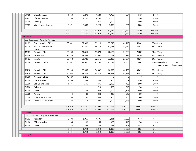| 21100                               | Office Supplies                        | 1,563   | 2,272   | 1,629   | 1,750    | 924     | 1,750   | 1,750        |                                                               |
|-------------------------------------|----------------------------------------|---------|---------|---------|----------|---------|---------|--------------|---------------------------------------------------------------|
| 21203                               | Office Allowance                       | 796     | 2,200   | 2,200   | 2,200    | 0       | 2,200   | 2,200        |                                                               |
| 31200                               | Training                               | 635     |         | 266     | 1,000    | 0       | 1,000   | 1,000        |                                                               |
| 32005                               | Miscellaneous Expenses                 | 2,571   | 3,500   | 3,228   | 3,800    | 1,821   | 3,800   | 3,800        |                                                               |
|                                     |                                        | 207,577 | 277,615 | 287,912 | 341,034  | 242,432 | 366,190 | 366,190      |                                                               |
|                                     |                                        | 207,577 | 277,615 | 287,912 | 341,034  | 242,432 | 366,190 | 366,190      |                                                               |
| $\overline{\phantom{a}}$ Loc : 0273 |                                        |         |         |         |          |         |         |              |                                                               |
|                                     | - Loc Description : Juvenile Probation |         |         |         |          |         |         |              |                                                               |
| 11105                               | <b>Chief Probation Officer</b>         | 69,642  | 57,883  | 56,210  | 57,712   | 42,118  | 58,465  | 58,465 Jack  |                                                               |
| 11114                               | Asst. Chief Probation<br>Officer       |         | 52,500  | 56,734  | 52,723   | 38,469  | 53,513  | 53,513 Matt  |                                                               |
| 11207                               | Probation Officer                      | 65,289  | 66,611  | 68,074  | 70,175   | 51,203  | 71,227  | 71,227 Tom   |                                                               |
| 11306                               | Secretary (1)                          | 28,538  | 29,384  | 31,852  | 32,781   | 23,923  | 34,284  |              | 34,284 Marcy                                                  |
| 11403                               | Secretary                              | 26,918  | 28,729  | 27,616  | 33,280   | 23,374  | 34,217  |              | 34,217 Jeremy                                                 |
| 11504                               | Probation Officer                      | 20,992  | 22,607  | 20,736  | 25,212   | 18,368  | 25,483  |              | 25,483 Danelle + \$25,000 User<br>Fees + \$4500 Offset Raises |
| 11710                               | Probation Officer                      | 62,134  | 63,439  | 64,832  | 66,833   | 40,162  | 39,699  | 39,699 Macy  |                                                               |
| 11814                               | <b>Probation Officer</b>               | 60,964  | 63,439  | 64,832  | 66,833   | 48,765  | 67,835  | 67,835 Kelly |                                                               |
| 11906                               | Probation Officer                      | 46,627  | 8,218   |         | $\Omega$ | 0       | 0       | 0            |                                                               |
| 21100                               | Office Supplies                        | 1,468   | 1,483   | 1,438   | 1,500    | 2,849   | 1,500   | 1,500        |                                                               |
| 22000                               | Gas, Oil and Lube                      | 1,131   | 1,515   | 476     | 2,000    | 490     | 2,000   | 2,000        |                                                               |
| 31200                               | Training                               |         |         | 719     | 500      | 219     | 500     | 500          |                                                               |
| 31700                               | Travel                                 | 857     | 1,306   | 1,046   | 2,000    | 1,826   | 2,000   | 2,000        |                                                               |
| 32200                               | Printing                               | 114     | 81      | 248     | 210      | 517     | 500     | 500          |                                                               |
| 35100                               | Dues & Subscriptions                   | 180     | 258     | 345     | 400      | 200     | 600     | 600          |                                                               |
| 35200                               | Conference Registration                | 2,824   | 2,654   | 200     | 3,000    | 2,385   | 3,000   | 3,000        |                                                               |
|                                     |                                        | 387,678 | 400,107 | 395,358 | 415,159  | 294,868 | 394,823 | 394,823      |                                                               |
|                                     |                                        | 387,678 | 400,107 | 395,358 | 415,159  | 294,868 | 394,823 | 394,823      |                                                               |
| $\overline{\phantom{0}}$ Loc : 0308 |                                        |         |         |         |          |         |         |              |                                                               |
|                                     | - Loc Description : Weights & Measures |         |         |         |          |         |         |              |                                                               |
| 11703                               | Inspectors                             | 5,504   | 5,965   | 4,505   | 7,831    | 2,860   | 7,416   | 7,416        |                                                               |
| 21100                               | Office Supplies                        | 285     | 183     | 165     | 300      | 110     | 300     | 300          |                                                               |
| 31700                               | Travel                                 | 642     | 566     | 549     | 765      | 703     | 1,315   | 1,315        |                                                               |
|                                     |                                        | 6,431   | 6,714   | 5,219   | 8,896    | 3,673   | 9,031   | 9,031        |                                                               |
|                                     |                                        | 6,431   | 6,714   | 5,219   | 8,896    | 3,673   | 9,031   | 9,031        |                                                               |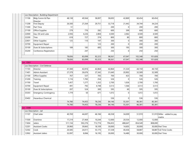|                                     | - Loc Description : Building Department |         |         |         |         |                |         |         |                                        |
|-------------------------------------|-----------------------------------------|---------|---------|---------|---------|----------------|---------|---------|----------------------------------------|
| 11106                               | Bldg Comm & Plan<br>Director            | 48,138  | 49,564  | 58,007  | 58,693  | 42,869         | 60,454  | 60,454  |                                        |
| 11208                               | <b>First Deputy</b>                     | 26,500  | 27,264  | 29,751  | 32,718  | 21,442         | 34,744  | 34,224  |                                        |
| 11300                               | Part Time                               | 51      |         |         | 200     | $\overline{0}$ | 200     | 200     |                                        |
| 21100                               | Office Supplies                         | 279     | 776     | 282     | 600     | 399            | 600     | 600     |                                        |
| 22000                               | Gas, Oil and Lube                       | 2,936   | 4,226   | 2,804   | 4,500   | 2,062          | 4,500   | 4,500   |                                        |
| 22200                               | <b>Tires</b>                            | 618     | 727     | 374     | 800     | 80             | 800     | 800     |                                        |
| 22601                               | Other Supplies                          | 125     | 110     | 197     | 300     | 0              | 300     | 300     |                                        |
| 33700                               | Equipment Repair                        |         |         | 123     | 200     | $\overline{0}$ | 200     | 200     |                                        |
| 35100                               | Dues & Subscriptions                    | 189     | 185     | 685     | 300     | 195            | 300     | 300     |                                        |
| 35200                               | Conference Registration                 |         | 247     |         | 250     | 0              | 250     | 250     |                                        |
|                                     |                                         | 78,836  | 83,099  | 92,223  | 98,561  | 67,047         | 102,348 | 101,828 |                                        |
|                                     |                                         | 78,836  | 83,099  | 92,223  | 98,561  | 67,047         | 102,348 | 101,828 |                                        |
| $\overline{\phantom{a}}$ Loc : 0361 |                                         |         |         |         |         |                |         |         |                                        |
|                                     | - Loc Description : Civil Defense       |         |         |         |         |                |         |         |                                        |
| 11103                               | Director                                | 41,584  | 42,816  | 42,864  | 42,864  | 31,324         | 44,150  | 44,150  |                                        |
| 11401                               | Admin Assistant                         | 27,379  | 26,676  | 27,342  | 31,640  | 20,902         | 32,589  | 32,589  |                                        |
| 21100                               | Office Supplies                         | 767     | 537     | 705     | 700     | 423            | 700     | 700     |                                        |
| 31200                               | Training                                | 1,116   | 1,783   | 254     | 526     | $\overline{0}$ | 526     | 526     |                                        |
| 31700                               | Travel                                  | 1,457   | 1,277   | 1,352   | 2,700   | 1,026          | 2,700   | 1,700   |                                        |
| 33700                               | Equipment Repair                        | 491     | 792     | 4,748   | 3,513   | 1,566          | 3,513   | 3,513   |                                        |
| 35100                               | Dues & Subscriptions                    | 207     | 524     | 300     | 595     | 60             | 595     | 595     |                                        |
| 35303                               | <b>Emergency Contingency</b>            | 1,779   | 50      | 671     | 1,072   | 0              | 1,072   | 1,072   |                                        |
| 35402                               | <b>Hazardous Chemical</b>               |         |         |         | 536     | 0              | 536     | 536     |                                        |
|                                     |                                         | 74,780  | 74,455  | 78,236  | 84,146  | 55,301         | 86,381  | 85,381  |                                        |
|                                     |                                         | 74,780  | 74,455  | 78,236  | 84,146  | 55,301         | 86,381  | 85,381  |                                        |
| Loc: 0380                           |                                         |         |         |         |         |                |         |         |                                        |
|                                     | - Loc Description : Jail                |         |         |         |         |                |         |         |                                        |
| 11107                               | Chief Jailer                            | 40,769  | 44,697  | 46,184  | 46,558  | 34,009         | 51,919  |         | 51,919 Miller - added to pay<br>matrix |
| 11500                               | Overtime                                | 17,219  | 27,464  | 10,244  | 12,000  | 20,554         | 12,000  | 12,000  |                                        |
| 11604                               | Jailers                                 | 511,134 | 592,276 | 712,774 | 794,453 | 488,647        | 854,549 | 808,690 |                                        |
| 12201                               | <b>Assistant Cooks</b>                  | 29,960  | 39,843  | 18,109  | 30,000  | 14,605         | 30,000  |         | 30,000 Part Time                       |
| 12302                               | Cook                                    | 20,585  | 24,011  | 55,175  | 57,338  | 40,436         | 58,887  |         | 58,887 Full Time Cooks                 |
| 12902                               | <b>Assistant Jailers</b>                | 52,097  | 8,084   | 16,195  | 30,000  | 16,480         | 30,000  |         | 30,000 Part Time                       |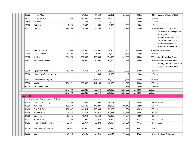| 13002         | Facility Maint                          |           | 31,250    | 11,643    | 32,261    | 25,033    | 39,832    |              | 41,391 Approve Wage 6/2021      |
|---------------|-----------------------------------------|-----------|-----------|-----------|-----------|-----------|-----------|--------------|---------------------------------|
| 22601         | Other Supplies                          | 33,540    | 28,446    | 29,541    | 40,000    | 19,051    | 40,000    | 30,000       |                                 |
| 24400         | Uniforms                                | 2,455     | 2,374     | 2,551     | 2,500     | 203       | 2,500     | 2,500        |                                 |
| 31200         | Training                                | 1,194     | 3,342     | 666       | 5,000     | 229       | 5,000     | 5,000        |                                 |
| 31202         | Medical                                 | 231,596   | 16,365    | 24,266    | 10,000    | 4,735     | 30,000    |              | 30,000 Excluded Medical &       |
|               |                                         |           |           |           |           |           |           |              | Supplies/County Expenses.       |
|               |                                         |           |           |           |           |           |           |              | CF-61,215.67                    |
|               |                                         |           |           |           |           |           |           |              | reimbursement to Co in          |
|               |                                         |           |           |           |           |           |           |              | 2020. Inmate RX also            |
|               |                                         |           |           |           |           |           |           |              | monthly expense for             |
|               |                                         |           |           |           |           |           |           |              | Co(those not in contract)       |
| 31401         | <b>Medical Contract</b>                 | 50,000    | 344,067   | 317,600   | 350,400   | 321,200   | 361,000   |              | 361,000 Rate Increase           |
| 31500         | <b>GPS Monitoring</b>                   | 12,404    | 6,836     | 4,825     | 10,000    | 3,755     | 10,000    | 10,000       |                                 |
| 33102         | <b>Utlities</b>                         | 204,576   | 182,083   | 185,695   | 154,500   | 143,990   | 190,000   |              | 220,000 Fund short last 2 years |
| 33401         | Jail Software Maint                     |           | 84,990    | 82,097    | 83,990    | 556       | 84,000    |              | 84,000 Superion (other dept.    |
|               |                                         |           |           |           |           |           |           |              | reimb). County reimbursed       |
|               |                                         |           |           |           |           |           |           |              | \$20,000 by other depts         |
| 33700         | Equipment Repair                        | 15,600    | 14,364    | 3,919     | 35,000    | 2,085     | 35,000    | 30,000       |                                 |
| 35600         | Private Inst/Secure Detent.             |           |           | 595       | 2,000     | 0         | 2,000     | 2,000        |                                 |
| 37501         | Maintenance Property                    |           |           | 118,235   | 140,000   | 122,848   | 140,000   | 120,000      |                                 |
| 39900         | Meals                                   | 154,971   | 138,537   | 147,105   | 160,000   | 91,918    | 160,000   | 160,000      |                                 |
| 31704         | Inmate Extradition                      |           |           |           |           | 4,875     | 8,000     | 8,000        |                                 |
|               |                                         | 1,378,100 | 1,589,029 | 1,787,419 | 1,996,000 | 1,355,209 | 2,144,687 | 2,095,387    |                                 |
|               |                                         | 1,378,100 | 1,589,029 | 1,787,419 | 1,996,000 | 1,355,209 | 2,144,687 | 2,095,387    |                                 |
| Loc: 0622     |                                         |           |           |           |           |           |           |              |                                 |
|               | Loc Description : County Home - Elderly |           |           |           |           |           |           |              |                                 |
| 11209         | Director of Nursing                     | 40,385    | 41,565    | 46,860    | 48,061    | 35,083    | 48,967    |              | 49,503 Kendra                   |
| 11300         | Part Time                               | 102,239   | 120,146   | 149,289   | 150,000   | 109,146   | 154,500   | 154,500      |                                 |
| 11400         | <b>CNA Full Time</b>                    | 151,607   | 146,514   | 150,044   | 175,000   | 99,234    | 180,250   | 180,250      |                                 |
| 11406         | Administrator                           | 41,585    | 42,816    | 51,937    | 52,823    | 44,265    | 54,408    | 54,408       |                                 |
| 11500         | Overtime                                | 19,346    | 15,913    | 15,543    | 13,000    | 11,274    | 13,000    | 13,000       |                                 |
| 11605         | Admin. Asst.                            | 30,149    | 31,042    | 35,315    | 36,358    | 31,706    | 37,712    |              | 37,712 Vivyan                   |
| 11802         | Food Service Supervisor                 | 35,205    | 29,957    | 35,274    | 36,067    | 26,334    | 37,425    | 37,425 Angie |                                 |
| 11806         | Maintenance Supervisor                  | 27,031    | 28,080    | 31,800    | 32,448    | 22,449    | 33,421    | 33,421       |                                 |
| 12302<br>Cook |                                         | 24,418    | 21,135    | 24,856    | 27,144    | 18,986    | 27,227    |              | 27,227 Barbara Williamson       |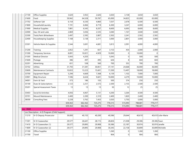| 21100                               | Office Supplies                                 | 3,620   | 3,932   | 2,626   | 3,650   | 3,138          | 3,650   | 3,650       |                    |
|-------------------------------------|-------------------------------------------------|---------|---------|---------|---------|----------------|---------|-------------|--------------------|
| 21600                               | Food                                            | 59,942  | 64,528  | 59,787  | 65,000  | 34,825         | 65,000  | 65,000      |                    |
| 21702                               | Softener Salt                                   | 6,154   | 6,530   | 4,860   | 7,037   | 2,678          | 6,500   | 6,500       |                    |
| 21800                               | Household/Laundry                               | 7,191   | 6,066   | 8,719   | 6,300   | 3,247          | 6,000   | 6,000       |                    |
| 21900                               | Medical Supplies                                | 7,881   | 6,545   | 8,207   | 8,600   | 6,693          | 8,600   | 8,600       |                    |
| 22000                               | Gas, Oil and Lube                               | 2,869   | 3,036   | 2,535   | 3,040   | 1,167          | 3,040   | 3,040       |                    |
| 22300                               | Tools, Paint & Hardware                         | 2,497   | 2,592   | 2,807   | 2,502   | 2,241          | 2,502   | 2,502       |                    |
| 22400                               | Housekeeping Supplies                           | 7,168   | 3,138   | 2,311   | 3,000   | 2,801          | 3,000   | 3,000       |                    |
| 23301                               | Vehicle Maint & Supplies                        | 2,544   | 3,691   | 4,681   | 3,813   | 2,091          | 4,000   | 4,000       |                    |
| 31200                               | Training                                        | 2,852   | 1,291   | 837     | 3,153   | 454            | 2,000   | 2,000       |                    |
| 31300                               | Temporary Services                              | 8,891   | 10,021  | 4,929   | 10,000  | 0              | 10,000  | 0           |                    |
| 31305                               | <b>Medical Director</b>                         | 5,043   | 4,203   |         | 5,043   | 0              | 500     | 500         |                    |
| 31600                               | Postage                                         | 386     | 497     | 495     | 626     | 8 <sup>1</sup> | 604     | 604         |                    |
| 32201                               | Advertising                                     | 651     | 538     | 560     | 700     | 352            | 700     | 700         |                    |
| 33102                               | Utlities                                        | 31,793  | 31,581  | 30,851  | 37,141  | 24,668         | 36,000  | 36,000      |                    |
| 33600                               | Maintenance Contracts                           | 10,833  | 13,223  | 15,601  | 17,200  | 13,497         | 18,000  | 18,000      |                    |
| 33700                               | Equipment Repair                                | 5,294   | 4,669   | 7,368   | 6,139   | 1,102          | 7,000   | 7,000       |                    |
| 33901                               | <b>Bldg Structure</b>                           | 7,596   | 6,634   | 9,601   | 10,000  | 4,279          | 10,000  | 10,000      |                    |
| 34001                               | Farm & Yard                                     | 373     | 186     | 103     | 500     | 374            | 250     | 250         |                    |
| 35100                               | Dues & Subscriptions                            | 2,123   | 2,251   | 2,572   | 2,500   | 2,155          | 2,500   | 2,500       |                    |
| 35201                               | Special Assessment Taxes                        | 13      | 13      | 13      | 50      | 12             | 25      | 25          |                    |
| 35403                               | Social & Activities                             | 4,056   | 4,067   | 5,131   | 4,200   | 3,264          | 4,500   | 4,500       |                    |
| 35701                               | Mound Maintenance                               | 2,400   | 2,200   | 2,310   | 2,400   | 1,820          | 2,400   | 2,400       |                    |
| 38300                               | Consulting Fees                                 | 5,228   | 3,762   | 7,453   | 3,020   | 5,750          | 5,000   | 5,000       |                    |
|                                     |                                                 | 659,363 | 662,362 | 725,275 | 776,515 | 515,093        | 788,681 | 779,217     |                    |
|                                     |                                                 | 659,363 | 662,362 | 725,275 | 776,515 | 515,093        | 788,681 | 779,217     |                    |
| $\overline{\phantom{a}}$ Loc : 0660 |                                                 |         |         |         |         |                |         |             |                    |
|                                     | - Loc Description : 4-D Program (Child Support) |         |         |         |         |                |         |             |                    |
| 11210                               | IV-D Deputy Prosecutor                          | 39,000  | 40,155  | 40,200  | 40,586  | 29,644         | 40,610  |             | 40,610 Julie-Marie |
| 11301                               | IV-D Caseworker                                 | 29,577  | 26,641  | 28,115  | 28,826  | 21,038         | 29,306  | 29,306 Fawn |                    |
| 11410                               | IV-D Caseworker (1)                             | 29,577  | 29,895  | 29,908  | 30,386  | 22,187         | 30,974  |             | 30,974 Janelle     |
| 11809                               | IV-D Caseworker (2)                             | 29,577  | 29,895  | 29,908  | 30,345  | 22,158         | 30,899  |             | 30,899 Michelle    |
| 21100                               | Office Supplies                                 |         |         |         | 1,260   | 0              | 1,260   | 1,260       |                    |
| 31700                               | Travel                                          |         |         |         | 904     | 0              | 904     | 904         |                    |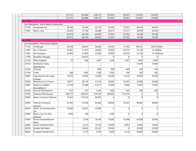|                           |                                             | 127,731 | 126,586 | 128,131 | 132,307  | 95,027   | 133,953  | 133,953        |  |
|---------------------------|---------------------------------------------|---------|---------|---------|----------|----------|----------|----------------|--|
|                           |                                             | 127,731 | 126,586 | 128,131 | 132,307  | 95,027   | 133,953  | 133,953        |  |
| $\blacksquare$ Loc : 0750 |                                             |         |         |         |          |          |          |                |  |
|                           | Loc Description : Soil & Water Conservation |         |         |         |          |          |          |                |  |
| 11108                     | Conservationist                             | 36,190  | 36,394  | 42,135  | 42,787   | 31,251   | 44,070   | 44,070         |  |
| 11605                     | Admin. Asst.                                | 26,423  | 27,756  | 20,468  | 29,474   | 21,511   | 30,678   | 30,678         |  |
|                           |                                             | 62,613  | 64,150  | 62,603  | 72,261   | 52,762   | 74,748   | 74,748         |  |
|                           |                                             | 62,613  | 64,150  | 62,603  | 72,261   | 52,762   | 74,748   | 74,748         |  |
| $-$ Loc : 9600            |                                             |         |         |         |          |          |          |                |  |
|                           | - Loc Description : Information Systems     |         |         |         |          |          |          |                |  |
| 11102                     | IS Manager                                  | 93,769  | 96,547  | 96,655  | 97,622   | 71,302   | 100,551  | 100,551 Mike   |  |
| 11405                     | Ass. IT Director                            | 50,481  | 51,957  | 54,885  | 70,000   | 50,577   | 72,100   | 72,100 Bob     |  |
| 11602                     | <b>GIS Employee</b>                         | 52,000  | 53,500  | 53,560  | 70,000   | 50,522   | 72,100   | 72,100 Ethan   |  |
| 11709                     | <b>Workflow Manager</b>                     |         | 40,527  |         | $\Omega$ | 0        | $\Omega$ | $\Omega$       |  |
| 21100                     | Office Supplies                             | 53      | 804     | 1,647   | 1,500    | 1,091    | 2,000    | 2,000          |  |
| 35720                     | <b>NetMotion Yearly</b>                     |         |         |         |          |          | 15,000   | 15,000         |  |
|                           | Maintenance                                 |         |         |         |          |          |          |                |  |
| 31200                     | Training                                    |         |         | 806     | 500      | 449      | 500      | 500            |  |
| 31700                     | Travel                                      | 388     | 1,099   | 1,060   | 1,000    | 358      | 500      | 500            |  |
| 32804                     | Copy Machine & Usage                        | 19,474  | 14,646  | 14,050  | 45,000   | 13,612   | 45,000   | 45,000         |  |
|                           | Charges                                     |         |         |         |          |          |          |                |  |
| 33600                     | Maintenance Contracts                       | 18,077  | 59,118  | 41,315  | 50,000   | 33,187   | 50,000   | 50,000         |  |
| 33603                     | Repairs to DeMarc                           | 21,119  | 31,688  | 51,817  | 15,000   | 8,060    | 15,000   | 15,000         |  |
|                           | Room&New IT                                 |         |         |         |          |          |          |                |  |
| 35100                     | Dues & Subscriptions                        | 614     | 277     | 1,346   | 1,000    | 345      | 500      | 500            |  |
| 35700                     | Software Maintenance                        | 494,773 | 440,043 | 379,194 | 390,000  | 379,779  | 0        | $\overline{0}$ |  |
| 35800                     | Maint. Fund Acct Software                   | 14,325  | 119,153 | 80,955  | $\Omega$ | $\Omega$ | $\Omega$ | $\Omega$       |  |
| 35900                     | Internet & Network                          | 87,465  | 78,766  | 93,366  | 90,000   | 52,647   | 90,000   | 90,000         |  |
|                           | Services<br>Maint. Tax & Assessment         |         |         |         | $\Omega$ | 0        | 0        |                |  |
| 36200                     | SW                                          | 23,030  | 52,022  | 47,000  |          |          |          | 0              |  |
| 37800                     | Maint. Court & Clerk                        | 7,000   | 149     |         | 2,500    | $\Omega$ | $\Omega$ | $\vert$ 0      |  |
|                           | Software                                    |         |         | 19,746  |          |          |          |                |  |
| 37900                     | Phone Handset&Server<br>Maint               |         | 5,198   |         | 10,000   | 19,398   | 20,000   | 20,000         |  |
| 38000                     | Server Hardware Maint                       |         | 8,153   | 10,778  | 10,000   | 8,863    | 10,000   | 10,000         |  |
| 38100                     | Nimble SAN Maint                            |         | 24,695  | 22,252  | 25,000   | 0        | 25,000   | 25,000         |  |
| 38200                     | Fortigate Firewall Maint                    |         | 5,176   | 5,576   | 6,000    | 2,210    | 20,000   | 20,000         |  |
|                           |                                             |         |         |         |          |          |          |                |  |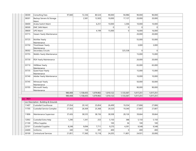| 38300                     | Consulting Fees                      | 97,840  | 72,336    | 80,524    | 90,000    | 94,986         | 90,000         | 90,000    |  |
|---------------------------|--------------------------------------|---------|-----------|-----------|-----------|----------------|----------------|-----------|--|
| 38301                     | Backup Servers & Storage<br>Maint    |         | 2,581     | 12,920    | 10,000    | 17,137         | 20,000         | 20,000    |  |
| 38400                     | Aruba Switch Maint                   |         |           | 6,251     | 10,000    | 3,306          | 10,000         | 10,000    |  |
| 38500                     | <b>EMC SAN Maint</b>                 |         |           |           | 0         | 0              | $\overline{0}$ | 0         |  |
| 38600                     | <b>UPS Maint</b>                     |         |           | 4,199     | 15,000    | 0              | 16,000         | 16,000    |  |
| 35715                     | Veeam Yearly Maintenance             |         |           |           |           |                | 20,000         | 20,000    |  |
| 35725                     | McAfee Yearly<br>Maintenance         |         |           |           |           |                | 55,000         | 55,000    |  |
| 35750                     | TimeViewer Yearly<br>Maintenance     |         |           |           |           |                | 3,000          | 3,000     |  |
| 38302                     | Secondary Circuits                   |         |           |           |           | 325,538        | 0              | 0         |  |
| 35755                     | WebEx Yearly Maintenance             |         |           |           |           |                | 15,000         | 15,000    |  |
| 35730                     | RSA Yearly Maintenance               |         |           |           |           |                | 20,000         | 20,000    |  |
| 35710                     | <b>VMWare Yearly</b><br>Maintenance  |         |           |           |           |                | 65,000         | 65,000    |  |
| 35735                     | Quest Kace Yearly<br>Maintenance     |         |           |           |           |                | 15,000         | 15,000    |  |
| 35740                     | Adobe Yearly Maintenance             |         |           |           |           |                | 10,000         | 10,000    |  |
| 35745                     | Mimecast Yearly<br>Maintenance       |         |           |           |           |                | 50,000         | 50,000    |  |
| 35705                     | Microsoft Yearly<br>Maintenance      |         |           |           |           |                | 90,000         | 90,000    |  |
|                           |                                      | 980,408 | 1,158,435 | 1,079,902 | 1,010,122 | 1,133,367      | 1,017,251      | 1,017,251 |  |
|                           |                                      | 980,408 | 1,158,435 | 1,079,902 | 1,010,122 | 1,133,367      | 1,017,251      | 1,017,251 |  |
| $\blacksquare$ Loc : 9601 |                                      |         |           |           |           |                |                |           |  |
|                           | Loc Description : Building & Grounds |         |           |           |           |                |                |           |  |
| 11407                     | Custodial Courthouse                 | 27,054  | 29,143    | 25,854    | 26,499    | 19,354         | 27,806         | 27,806    |  |
| 11705                     | Custodial Service Complex            | 27,563  | 28,369    | 25,368    | 26,520    | 19,340         | 27,807         | 27,807    |  |
| 11806                     | Maintenance Supervisor               | 37,426  | 38,535    | 38,156    | 38,508    | 28,126         | 39,664         | 39,664    |  |
| 12002                     | Custodial Extra Help                 | 1,290   | 1,341     | 253       | 5,150     | 388            | 5,150          | 5,150     |  |
| 21100                     | Office Supplies                      |         |           |           | 100       | 36             | 100            | 100       |  |
| 22101                     | <b>Custodial Supplies</b>            | 8,248   | 9,094     | 7,711     | 9,270     | 4,391          | 9,548          | 9,548     |  |
| 24400                     | Uniforms                             | 340     | 134       | 391       | 400       | $\overline{0}$ | 400            | 400       |  |
| 30100                     | <b>Contractural Services</b>         | 21,851  | 17,360    | 15, 118   | 24,205    | 11,801         | 24,931         | 20,000    |  |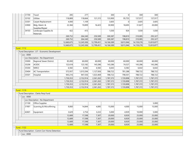|                   | 31700 | Travel                                          | 285        | 277        |            | 300        | $\Omega$  | 300        | 300        |  |
|-------------------|-------|-------------------------------------------------|------------|------------|------------|------------|-----------|------------|------------|--|
|                   | 33102 | <b>Utlities</b>                                 | 118,889    | 118,664    | 121,315    | 133,900    | 95,755    | 137,917    | 137,917    |  |
|                   | 33301 | Carpet Replacement                              | 4,000      | 1,109      |            | 3,605      | $\Omega$  | 3,605      | 3,605      |  |
|                   | 33900 | Bldg. Maint. &                                  | 22,384     | 19,899     | 16,423     | 30,900     | 18,695    | 31,827     | 20,000     |  |
|                   |       | Supplies/Repair                                 |            |            |            |            |           |            |            |  |
|                   | 34103 | Landscape Supplies &                            | 422        | 415        |            | 1,030      | 924       | 1,030      | 1,030      |  |
|                   |       | Materials                                       | 269,752    | 264,340    | 250,589    | 300,387    | 198,810   | 310,085    | 293,327    |  |
|                   |       |                                                 | 269,752    | 264,340    | 250,589    | 300,387    | 198,810   | 310,085    | 293,327    |  |
|                   |       |                                                 | 12,660,675 | 12,245,506 | 12,799,451 | 14,166,589 | 9,815,946 | 14,159,276 | 13,810,877 |  |
|                   |       |                                                 | 12,660,675 | 12,245,506 | 12,799,451 | 14,166,589 | 9,815,946 | 14,159,276 | 13,810,877 |  |
| - Fund: 1112      |       |                                                 |            |            |            |            |           |            |            |  |
|                   |       | - Fund Description : LIT - Economic Development |            |            |            |            |           |            |            |  |
| $-$ Loc: 0000     |       |                                                 |            |            |            |            |           |            |            |  |
| $\blacksquare$    |       | Loc Description : No Department                 |            |            |            |            |           |            |            |  |
|                   | 35000 | Regional Sewer District                         | 85,000     | 60,000     | 60,000     | 60,000     | 60,000    | 60,000     | 60,000     |  |
|                   | 35206 | <b>ACEDC</b>                                    | 122,618    | 123,182    | 143,286    | 143,286    | 74,527    | 143,286    | 143,286    |  |
|                   | 35304 | NIRCC                                           | 6,582      | 6,582      | 6,582      | 6,642      | 6,582     | 6,642      | 6,642      |  |
|                   | 35404 | AC Transportation                               | 572,937    | 1,015,594  | 1,127,926  | 788,722    | 781,288   | 788,722    | 788,722    |  |
|                   | 35501 | Hospital                                        | 943,216    | 947,556    | 1,023,469  | 788,722    | 798,501   | 788,722    | 788,722    |  |
|                   |       |                                                 | 1,730,353  | 2,152,914  | 2,361,263  | 1,787,372  | 1,720,898 | 1,787,372  | 1,787,372  |  |
|                   |       |                                                 | 1,730,353  | 2,152,914  | 2,361,263  | 1,787,372  | 1,720,898 | 1,787,372  | 1,787,372  |  |
|                   |       |                                                 | 1,730,353  | 2,152,914  | 2,361,263  | 1,787,372  | 1,720,898 | 1,787,372  | 1,787,372  |  |
|                   |       |                                                 | 1,730,353  | 2,152,914  | 2,361,263  | 1,787,372  | 1,720,898 | 1,787,372  | 1,787,372  |  |
| - Fund: 1119      |       |                                                 |            |            |            |            |           |            |            |  |
|                   |       | - Fund Description : Clerks Perp Fund           |            |            |            |            |           |            |            |  |
| $-$ Loc : 0000    |       |                                                 |            |            |            |            |           |            |            |  |
| $\blacksquare$    |       | Loc Description : No Department                 |            |            |            |            |           |            |            |  |
|                   | 21100 | Office Supplies                                 |            |            |            |            |           |            | 5,000      |  |
|                   | 31901 | Scanning & Microfilming                         | 9,060      | 14,844     | 4,085      | 15,000     | 4,000     | 15,000     | 15,000     |  |
|                   | 42601 | Equipment                                       | 3,629      | 2,754      | 3,222      | 5,000      | 4,929     | 10,000     | 5,000      |  |
|                   |       |                                                 | 12,689     | 17,598     | 7,307      | 20,000     | 8,929     | 25,000     | 25,000     |  |
|                   |       |                                                 | 12,689     | 17,598     | 7,307      | 20,000     | 8,929     | 25,000     | 25,000     |  |
|                   |       |                                                 | 12,689     | 17,598     | 7,307      | 20,000     | 8,929     | 25,000     | 25,000     |  |
|                   |       |                                                 | 12,689     | 17,598     | 7,307      | 20,000     | 8,929     | 25,000     | 25,000     |  |
| <b>Fund: 1122</b> |       |                                                 |            |            |            |            |           |            |            |  |
|                   |       | - Fund Description : Comm Corr Home Detention   |            |            |            |            |           |            |            |  |
| $-$ Loc : 0000    |       |                                                 |            |            |            |            |           |            |            |  |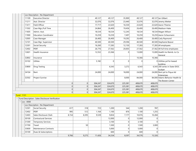|                   |       | Loc Description : No Department                    |       |                |         |                |                |              |                |                                                    |
|-------------------|-------|----------------------------------------------------|-------|----------------|---------|----------------|----------------|--------------|----------------|----------------------------------------------------|
|                   | 11109 | <b>Executive Director</b>                          |       |                | 49,127  | 49,127         | 35,900         | 49,127       |                | 49,127 lan Gilbert                                 |
|                   | 11211 | Asst. Director                                     |       |                | 32,076  | 32,076         | 23,440         | 32,076       |                | 32,076 Jeremy Wetter                               |
|                   | 11411 | <b>Field Officer</b>                               |       |                | 17,717  | 22,620         | 16,530         | 22,620       |                | 22,620 Aaron Thieme                                |
|                   | 11502 | Case Mgr./Full Time                                |       |                | 24,864  | 26,400         | 19,456         | 26,400       |                | 26,400 Madison Hake                                |
|                   | 11605 | Admin. Asst.                                       |       |                | 18,534  | 18,534         | 12,245         | 18,534       |                | 18,534 Magen Wilson                                |
|                   | 11900 | <b>Education Coordinator</b>                       |       |                | 10,259  | 10,259         | 7,497          | 10,259       |                | 10,259 Aaron Scheumann                             |
|                   | 12005 | Case Manager                                       |       |                | 26,400  | 26,400         | 19,292         | 26,400       |                | 26,400 Carly Raymond                               |
|                   | 12101 | Case Mgr. Supervisor                               |       |                | 40,500  | 40,500         | 29,596         | 40,500       |                | 40,500 Stephanie Beaver                            |
|                   | 12301 | Social Security                                    |       |                | 16,260  | 17,283         | 12,150         | 17,283       |                | 17,283 All employees                               |
|                   | 12402 | PERF                                               |       |                | 26,776  | 27,562         | 20,003         | 27,562       |                | 27,562 All full time employees                     |
|                   | 12601 | Health Insurance                                   |       |                | 12,552  | 23,366         | $\Omega$       | 13,000       |                | 13,000 Health Ins Reimb. to Co<br>General          |
|                   | 32802 | Insurance                                          |       |                |         |                |                | 10,366       | 10,366         |                                                    |
|                   | 33102 | <b>Utlities</b>                                    |       |                | 5,182   | $\overline{0}$ | $\Omega$       | $\Omega$     |                | 0 Utilities pd for leased<br>buildina              |
|                   | 33800 | <b>Drug Testing</b>                                |       |                |         | 6,543          | 3,272          | 6,543        |                | 6,543 200 series in State IDOC<br>budget           |
|                   | 34104 | Rent                                               |       |                | 24,000  | 24,000         | 18,000         | 24,000       |                | 24,000 Rent pd to Piqua Ad<br>Enterprises          |
|                   | 32502 | Project Sunrise                                    |       |                |         |                | 8,000          | 84,000       |                | 84,000 Adams Behavior Health &<br>The Bowen Center |
|                   |       |                                                    | 0     | 0              | 304,247 | 324,670        | 225,381        | 408,670      | 408,670        |                                                    |
|                   |       |                                                    | 0     | 0              | 304,247 | 324,670        | 225,381        | 408,670      | 408,670        |                                                    |
|                   |       |                                                    | 0     | 0              | 304,247 | 324,670        | 225,381        | 408,670      | 408,670        |                                                    |
|                   |       |                                                    | 0     | $\overline{0}$ | 304,247 | 324,670        | 225,381        | 408,670      | 408,670        |                                                    |
| <b>Fund: 1131</b> |       |                                                    |       |                |         |                |                |              |                |                                                    |
| $-$ Loc : 0000    |       | - Fund Description : Sales Disclosure Verification |       |                |         |                |                |              |                |                                                    |
|                   |       | Loc Description : No Department                    |       |                |         |                |                |              |                |                                                    |
|                   | 12301 | Social Security                                    | 617   | 318            | 723     | 1,200          | 544            | 1,200        | 787            |                                                    |
|                   | 12402 | PERF                                               | 995   | 512            | 1,164   | 1,100          | 876            | 1,100        | 1,255          |                                                    |
|                   | 12403 | Sales Disclosure Clerk                             | 8,154 | 8,395          | 9,539   | 9,834          | 7,177          | 10,076       | 10,284         |                                                    |
|                   | 30100 | <b>Contractural Services</b>                       |       |                |         | 12,000         | $\Omega$       | 12,000       | 0              |                                                    |
|                   | 31300 | <b>Temporary Services</b>                          |       |                |         | 3,100          | $\Omega$       | 3,100        | $\overline{0}$ |                                                    |
|                   | 31700 | Travel                                             |       | 50             |         | 1,500          | $\overline{0}$ | 1,500        | 3,000          |                                                    |
|                   | 33600 | Maintenance Contracts                              |       |                |         |                | $\overline{0}$ |              | 0              |                                                    |
|                   | 35100 | Dues & Subscriptions                               |       |                |         | 5,000<br>600   | $\Omega$       | 5,000<br>600 | 0              |                                                    |
|                   |       |                                                    | 9,766 | 9,275          | 11,426  | 34,334         | 8,597          | 34,576       | 15,326         |                                                    |
|                   |       |                                                    |       |                |         |                |                |              |                |                                                    |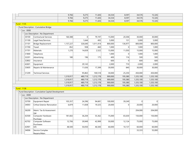|              |                |                                                     | 9,766     | 9,275    | 11,426    | 34,334  | 8,597    | 34,576    | 15,326    |  |
|--------------|----------------|-----------------------------------------------------|-----------|----------|-----------|---------|----------|-----------|-----------|--|
|              |                |                                                     | 9,766     | 9,275    | 11,426    | 34,334  | 8,597    | 34,576    | 15,326    |  |
|              |                |                                                     | 9,766     | 9,275    | 11,426    | 34,334  | 8,597    | 34,576    | 15,326    |  |
| - Fund: 1135 |                |                                                     |           |          |           |         |          |           |           |  |
|              |                | - Fund Description : Cumulative Bridge              |           |          |           |         |          |           |           |  |
|              | $-$ Loc : 0000 |                                                     |           |          |           |         |          |           |           |  |
|              |                | Loc Description : No Department                     |           |          |           |         |          |           |           |  |
|              | 30100          | <b>Contractural Services</b>                        | 160,388   | $\Omega$ | 79,197    | 15,000  | 20,306   | 30,000    | 30,000    |  |
|              | 31100          | Legal Fees/Services                                 |           | 1,644    | 493       | 5,000   | 131      | 5,000     | 5,000     |  |
|              | 31101          | <b>Bridge Replacement</b>                           | 1,157,227 | 326,640  | 1,011,414 | 800,000 | 136,977  | 800,000   | 800,000   |  |
|              | 31700          | Travel                                              | 852       | 938      | 460       | 1,000   | 0        | 1,000     | 1,000     |  |
|              | 31701          | Materials                                           | 1,270     | 14,659   | 2,522     | 15,000  | 11,050   | 15,000    | 15,000    |  |
|              | 31800          | Telephone                                           |           |          |           | 1,000   | 0        | 1,000     | 1,000     |  |
|              | 32201          | Advertising                                         | 180       | 196      | 175       | 400     | 116      | 500       | 500       |  |
|              | 32802          | Insurance                                           |           |          |           | 600     | 0        | 600       | 600       |  |
|              | 42601          | Equipment                                           |           | 29,143   |           | 2,000   | 710      | 2,000     | 2,000     |  |
|              | 33605          | Repairs & Maintenance                               |           | 11,636   | 17,399    | 30,000  | 840      | 30,000    | 30,000    |  |
|              | 31209          | <b>Technical Services</b>                           |           | 95,863   | 100,518   | 30,000  | 25,250   | 450,000   | 450,000   |  |
|              |                |                                                     | 1,319,917 | 480,719  | 1,212,178 | 900,000 | 195,380  | 1,335,100 | 1,335,100 |  |
|              |                |                                                     | 1,319,917 | 480,719  | 1,212,178 | 900,000 | 195,380  | 1,335,100 | 1,335,100 |  |
|              |                |                                                     | 1,319,917 | 480,719  | 1,212,178 | 900,000 | 195,380  | 1,335,100 | 1,335,100 |  |
|              |                |                                                     | 1,319,917 | 480,719  | 1,212,178 | 900,000 | 195,380  | 1,335,100 | 1,335,100 |  |
| - Fund: 1138 |                |                                                     |           |          |           |         |          |           |           |  |
|              |                | - Fund Description : Cumulative Capital Development |           |          |           |         |          |           |           |  |
|              | $-$ Loc : 0000 |                                                     |           |          |           |         |          |           |           |  |
|              |                | Loc Description : No Department                     |           |          |           |         |          |           |           |  |
|              | 33700          | Equipment Repair                                    | 105,357   | 24,396   | 94,681    | 100,000 | 39,249   | $\Omega$  | 0         |  |
|              | 34003          | <b>Crthse Exterior Renovation</b>                   | 6,879     | 11,838   | 19,325    | 20,000  | $\Omega$ | 20,000    | 20,000    |  |
|              | 36200          | Maint. Tax & Assessment<br>SW                       |           |          |           |         |          | 204,000   | 204,000   |  |
|              | 42500          | Computer Hardware<br>Purchase                       | 181,602   | 36,204   | 55,362    | 75,000  | 65,630   | 150,000   | 150,000   |  |
|              | 42702          | Computer Software<br>Purchases                      | 12,706    | 39,949   | 42,999    | 50,000  | 12,124   | 75,000    | 75,000    |  |
|              | 42901          | GIS                                                 | 48,500    | 50,050   | 46,500    | 60,000  | 10,137   | 60,000    | 60,000    |  |
|              | 34006          | Service Complex<br>Repairs/Main.                    |           |          |           |         |          | 33,333    | 55,000    |  |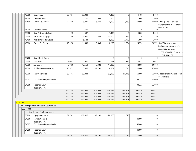| 47200             | Clerk Equip                              | 53,021  | 53,021  |         | 1,400          | 0         | 1,400   | 1,400          |                                     |
|-------------------|------------------------------------------|---------|---------|---------|----------------|-----------|---------|----------------|-------------------------------------|
| 47300             | <b>Treasurer Equip</b>                   |         | 210     | 505     | 600            | $\vert$ 0 | 600     | 600            |                                     |
| 47400             | Sheriff Equipment                        | 22,840  | 19,245  | 5,430   | 24,000         | 22,750    | 62,500  |                | 24,000 Adding 2 new vehicles +      |
|                   |                                          |         |         |         |                |           |         |                | equipment to make them              |
| 48000             | Commiss Equip                            |         | 1,775   |         | $\overline{0}$ | 0         | 0       | $\mathbf{0}$   | mad roady                           |
| 48200             | Bldg & Grounds Equip                     | 29      | 547     |         | 1,000          | $\Omega$  | 1,000   | 1,000          |                                     |
| 48300             | Superior Crt Equip                       | 258     | 3,000   | 338     | 35,000         | 215       | 0       | 0              |                                     |
| 48400             | Public Defender Equip                    |         | 15,544  |         | 5,000          | 2,772     | 5,000   | 5,000          |                                     |
| 48500             | Circuit Crt Equip                        | 19,374  | 11,549  | 9,535   | 12,200         | 3,934     | 24,772  |                | 24,772 *In CC Equipment or          |
|                   |                                          |         |         |         |                |           |         |                | Maintenance Contract? -             |
|                   |                                          |         |         |         |                |           |         |                | New/BIS Contract -                  |
|                   |                                          |         |         |         |                |           |         |                | \$1,059.37 WebEx Contract           |
|                   |                                          |         |         |         |                |           |         |                | \$11,512.50 or IT?                  |
| 48700             | Bldg. Dept. Equip                        |         |         |         | $\overline{0}$ | 0         | 0       | $\overline{0}$ |                                     |
| 48800             | <b>EMA Equip</b>                         | 1,051   | 1,000   | 1,051   | 1,051          | 976       | 1,051   | 1,051          |                                     |
| 48900             | Jail Equip                               | 5,920   | 12,561  | 9,388   | 14,000         | 0         | 14,000  | 14,000         |                                     |
| 49000             | Golden Meadows Equip                     | 16,971  | 15,305  | 17,791  | 18,004         | 31,046    | 18,004  | 18,004         |                                     |
| 49200             | Sheriff Vehicles                         | 69,635  | 83,844  |         | 92,000         | 155,416   | 160,000 |                | 92,000 2 additional new cars, total |
|                   |                                          |         |         |         |                |           |         |                | of 5 vehicles                       |
| 34007             | Courthouse Repairs/Main.                 |         |         |         |                |           | 33,333  | 55,000         |                                     |
| 34008             | Superior Court                           |         |         |         |                |           | 33,333  | 55,000         |                                     |
|                   | Repairs/Main.                            | 544,143 | 380,038 | 302,905 | 509,255        | 344,249   | 897,326 | 855,827        |                                     |
|                   |                                          | 544,143 | 380,038 | 302,905 | 509,255        | 344,249   | 897,326 | 855,827        |                                     |
|                   |                                          | 544,143 | 380,038 | 302,905 | 509,255        | 344,249   | 897,326 | 855,827        |                                     |
|                   |                                          | 544,143 | 380,038 | 302,905 | 509,255        | 344,249   | 897,326 | 855,827        |                                     |
| <b>Fund: 1140</b> |                                          |         |         |         |                |           |         |                |                                     |
|                   | Fund Description : Cumulative Courthouse |         |         |         |                |           |         |                |                                     |
| Loc: 0000         |                                          |         |         |         |                |           |         |                |                                     |
|                   | - Loc Description : No Department        |         |         |         |                |           |         |                |                                     |
| 33700             | Equipment Repair                         | 31,782  | 169,418 | 49,181  | 120,000        | 112,073   |         | 0              |                                     |
| 34006             | Service Complex                          |         |         |         |                |           | 40,000  | 0              |                                     |
|                   | Repairs/Main.                            |         |         |         |                |           |         |                |                                     |
| 34007             | Courthouse Repairs/Main.                 |         |         |         |                |           | 40,000  | 0              |                                     |
| 34008             | Superior Court                           |         |         |         |                |           | 40,000  | 0              |                                     |

31,782 169,418 49,181 120,000 112,073 120,000 0

-

Repairs/Main.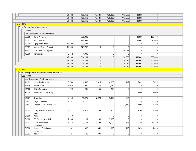|                |                                                 | 31,782 | 169,418 | 49,181 | 120,000        | 112,073        | 120,000  | 0              |  |
|----------------|-------------------------------------------------|--------|---------|--------|----------------|----------------|----------|----------------|--|
|                |                                                 | 31,782 | 169,418 | 49,181 | 120,000        | 112,073        | 120,000  | $\overline{0}$ |  |
|                |                                                 | 31,782 | 169,418 | 49,181 | 120,000        | 112,073        | 120,000  | $\overline{0}$ |  |
| - Fund: 1142   |                                                 |        |         |        |                |                |          |                |  |
|                | - Fund Description : Cumulative Jail            |        |         |        |                |                |          |                |  |
| $-$ Loc : 0000 |                                                 |        |         |        |                |                |          |                |  |
|                | - Loc Description : No Department               |        |         |        |                |                |          |                |  |
| 33000          | <b>Bond Principal</b>                           |        | 380,000 |        |                |                | 420,000  | 420,000        |  |
| 33101          | <b>Bond Interest</b>                            |        | 276,043 |        |                |                | 240,669  | 240,669        |  |
| 33700          | Equipment Repair                                | 18,590 | 33,381  |        | 0              | 0              | $\Omega$ | $\Omega$       |  |
| 33903          | Judicial Center Project                         | 14,046 | 173,767 | 0      | 0              | $\Omega$       | $\Omega$ | $\Omega$       |  |
| 37501          | Maintenance Property                            |        |         |        |                | 130,093        | $\Omega$ | $\overline{0}$ |  |
| 42700          | Demolition                                      | 9,512  | 1,000   |        | 0              | $\Omega$       | $\Omega$ | $\Omega$       |  |
|                |                                                 | 42,148 | 864,191 | 0      | 0              | 130,093        | 660,669  | 660,669        |  |
|                |                                                 | 42,148 | 864,191 | 0      | 0              | 130,093        | 660,669  | 660,669        |  |
|                |                                                 | 42,148 | 864,191 | 0      | 0              | 130,093        | 660,669  | 660,669        |  |
|                |                                                 | 42,148 | 864,191 | 0      | 0              | 130,093        | 660,669  | 660,669        |  |
| - Fund: 1148   |                                                 |        |         |        |                |                |          |                |  |
|                | - Fund Description : County Drug Free Community |        |         |        |                |                |          |                |  |
| $-$ Loc : 0000 |                                                 |        |         |        |                |                |          |                |  |
|                | - Loc Description : No Department               |        |         |        |                |                |          |                |  |
| 11109          | <b>Executive Director</b>                       | 5,760  | 6,500   | 6,825  | 6,825          | 3,412          | 6,825    | 6,825          |  |
| 11605          | Admin. Asst.                                    | 1,080  | 1,080   | 353    | 1,080          | 0              | $\Omega$ | 0              |  |
| 21100          | Office Supplies                                 | 729    | 296     | 155    | 200            | $\overline{0}$ | $\Omega$ | $\Omega$       |  |
| 31703          | Prevention Scholarships                         |        |         |        |                | $\Omega$       | 2,000    | 2,000          |  |
| 31001          | Drug Court                                      | 7,653  | 15,275  | 7,274  | 5,000          | 201            | $\Omega$ | $\Omega$       |  |
| 31201          | Project Success                                 | 1,742  | 2,220   |        | 0              | $\overline{0}$ | $\Omega$ | $\Omega$       |  |
| 31402          | Drug/Alcohol Prev Ed - AC                       |        |         |        | 0              | 7,149          | 3,500    | 3,500          |  |
| 31502          | Drug/Alcohol Prev Ed -<br>McMill                | 4,577  | 2,525   | 3,284  | 3,500          | 0              | 3,500    | 3,500          |  |
| 31600          | Postage                                         | 50     |         |        | 0              | 0              | $\Omega$ | $\overline{0}$ |  |
| 31602          | CD Education at Jail                            | 7,344  | 11,111  | 288    | 5,000          | $\Omega$       | $\Omega$ | $\Omega$       |  |
| 31702          | <b>DFAC Treatment</b>                           | 1,254  | 3,614   | 3,792  | 16,500         | 786            | 15,750   | 15,750         |  |
|                | Scholarships                                    |        |         |        |                |                |          |                |  |
| 31902          | Directors & Officers<br>Insurance               | 982    | 982     | 1,051  | 1,036          | 1,118          | 1,050    | 1,050          |  |
| 32002          | Rotary                                          | 525    | 600     | 390    | $\overline{0}$ | 0              | $\Omega$ | $\overline{0}$ |  |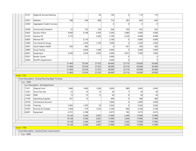|              | 32101 | Regional Annual Meeting                           |                    |                | 50             | 100              | $\Omega$       | 110              | 110              |  |
|--------------|-------|---------------------------------------------------|--------------------|----------------|----------------|------------------|----------------|------------------|------------------|--|
|              | 32301 | Website                                           | 788                | 540            | 408            | 753              | 283            | 840              | 840              |  |
|              | 32400 | Aggregate Student Surveys                         |                    |                |                | $\Omega$         | $\Omega$       | $\Omega$         | $\Omega$         |  |
|              | 32500 | Community Outreach                                | 25                 | 735            | 150            | 306              | 330            | 425              | 425              |  |
|              | 32603 | Decatur Police                                    | 9,000              | 9,148          | 3,454          | 3,500            | 2,880          | 5,000            | 5,000            |  |
|              | 32702 | Geneva PD                                         | 5,170              |                | 2,585          | 2,100            | 4,238          | 4,000            | 4,000            |  |
|              | 32805 | Monroe PD                                         |                    | 5,170          |                | 2,100            | 0              | 4,000            | 4,000            |  |
|              | 32900 | Too Good for Drugs                                |                    | 2,350          | 1,750          | 7,000            | $\Omega$       | 3,500            | 3,500            |  |
|              | 33001 | South Adams SADD                                  | 550                | 660            |                | 0                | 447            | 500              | 500              |  |
|              | 33800 | Drug Testing                                      |                    | 4,046          | 1,948          | 4,000            | $\Omega$       | 5,000            | 5,000            |  |
|              | 42601 | Equipment                                         | 4,240              | 3,504          | 3,595          | 3,000            | 2,872          | 7,000            | 7,000            |  |
|              | 32501 | <b>Bowen Center</b>                               |                    |                |                | 2,000            | $\Omega$       |                  | $\overline{0}$   |  |
|              | 32604 | Sheriff's Department                              |                    |                |                | 2,000            | $\Omega$       |                  | $\Omega$         |  |
|              |       |                                                   | 51,469             | 70,356         | 37,352         | 66,000           | 23,716         | 63,000           | 63,000           |  |
|              |       |                                                   | 51,469             | 70,356         | 37,352         | 66,000           | 23,716         | 63,000           | 63,000           |  |
|              |       |                                                   | 51,469             | 70,356         | 37,352         | 66,000           | 23,716         | 63,000           | 63,000           |  |
|              |       |                                                   | 51,469             | 70,356         | 37,352         | 66,000           | 23,716         | 63,000           | 63,000           |  |
| - Fund: 1152 |       |                                                   |                    |                |                |                  |                |                  |                  |  |
| Loc: 0000    |       | - Fund Description : Emerg Planning Right To Know |                    |                |                |                  |                |                  |                  |  |
|              |       | Loc Description : No Department                   |                    |                |                |                  |                |                  |                  |  |
|              | 11811 | Stipend Fund                                      | 1,860              | 1,460          | 1,260          | 2,845            | 880            | 2,845            | 2,845            |  |
|              | 12301 | Social Security                                   | 23                 | 14             | 12             | 50               | $\overline{7}$ | 50               | 50               |  |
|              | 12402 | PERF                                              | 13                 | 15             | 17             | 50 <sup>1</sup>  | 9              | 50               | 50               |  |
|              | 21500 | Operating Supplies                                | 261                | 15             |                | 406              | $\Omega$       | 406              | 406              |  |
|              | 30100 | Contractural Services                             |                    |                |                | 2,000            | $\Omega$       | 2,000            | 2,000            |  |
|              | 31200 |                                                   | 5,602              | 1,470          | 76             | 5,026            | 0              | 5,026            | 5,026            |  |
|              |       | Training                                          |                    |                |                |                  |                |                  |                  |  |
|              | 35502 | Services & Charges                                | 1,628              | 374            | 1,242          | 2,538            | 666            | 2,538            | 2,538            |  |
|              | 42601 | Equipment                                         | 4,751              | 2,198          |                | 5,075            | 782            | 5,075            | 5,075            |  |
|              |       |                                                   | 14, 138<br>14, 138 | 5,546<br>5,546 | 2,607<br>2,607 | 17,990           | 2,344<br>2,344 | 17,990<br>17,990 | 17,990<br>17,990 |  |
|              |       |                                                   | 14, 138            | 5,546          | 2,607          | 17,990<br>17,990 | 2,344          | 17,990           | 17,990           |  |
|              |       |                                                   | 14, 138            | 5,546          | 2,607          | 17,990           | 2,344          | 17,990           | 17,990           |  |
| - Fund: 1158 |       |                                                   |                    |                |                |                  |                |                  |                  |  |

- Fund Description : General Drain Improvement

- Loc : 0000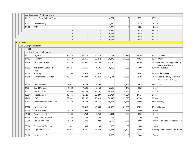|                             |       | Loc Description : No Department |        |        |        |        |          |        |               |                                                           |
|-----------------------------|-------|---------------------------------|--------|--------|--------|--------|----------|--------|---------------|-----------------------------------------------------------|
| 11113                       |       | Ditch Tech-Full/Part Time       |        |        |        | 16,771 | $\Omega$ | 16,771 | 16,771        |                                                           |
| 12301                       |       | Social Security                 |        |        |        | 1,339  | 0        | 1,339  | 1,339         |                                                           |
|                             | 12402 | PERF                            |        |        |        | 1,226  | $\Omega$ | 1,226  | 1,226         |                                                           |
|                             |       |                                 | 0      | 0      | 0      | 19,336 | $\Omega$ | 19,336 | 19,336        |                                                           |
|                             |       |                                 | 0      | 0      | 0      | 19,336 | 0        | 19,336 | 19,336        |                                                           |
|                             |       |                                 | 0      | 0      | 0      | 19,336 | 0        | 19,336 | 19,336        |                                                           |
|                             |       |                                 | 0      | 0      | 0      | 19,336 | 0        | 19,336 | 19,336        |                                                           |
| - Fund : 1159               |       |                                 |        |        |        |        |          |        |               |                                                           |
| - Fund Description : Health |       |                                 |        |        |        |        |          |        |               |                                                           |
| Loc: 0000                   |       |                                 |        |        |        |        |          |        |               |                                                           |
| $\overline{\phantom{a}}$    |       | Loc Description : No Department |        |        |        |        |          |        |               |                                                           |
|                             | 11112 | Registrar                       | 25,323 | 26,175 | 31,729 | 32,781 | 23,923   | 34,284 |               | 34,284 Theresa                                            |
| 11403                       |       | Secretary                       | 27,460 | 28,355 | 35,212 | 36,878 | 26,896   | 39,025 | 38,505 Dawn   |                                                           |
| 11404                       |       | Public Hlth Nurse               | 46,319 | 47,692 | 47,745 | 47,745 | 37,836   | 53,560 |               | 53,560 Holly - salary approved by<br>wage board in 2021   |
| 11503                       |       | Public Hith Nurse Part<br>Time  | 11,625 | 12,465 | 4,606  | 15,000 | 4,085    | 15,000 |               | 15,000 Karla Braun                                        |
| 11600                       |       | Attorney                        | 8,560  | 8,813  | 8,823  | 0      | 9,685    | 13,905 |               | 13,905 Adam Miller                                        |
| 11608                       |       | <b>Environmental Director</b>   | 45,865 | 47,224 | 47,277 | 47,541 | 38,388   | 54,408 |               | 54,408 Jessica - salary approved<br>by wage board in 2021 |
| 11708                       |       | Food Inspector                  | 8,051  | 8,708  | 4,594  | 0      | 5,727    | 15,975 | 15,975 Tara   |                                                           |
| 11804                       |       | <b>Board Member</b>             | 1,680  | 1,620  | 2,160  | 2,520  | 1,140    | 2,520  | 2,520         |                                                           |
| 11813                       |       | Health Officer                  | 23,993 | 24,704 | 24,732 | 24,979 | 18,245   | 25,729 | 25,729        |                                                           |
| 12301                       |       | Social Security                 | 16,446 | 19,620 | 20,287 | 27,724 | 16,064   | 27,724 | 27,724        |                                                           |
| 12402                       |       | PERF                            | 22,092 | 27,236 | 29,929 | 32,348 | 23,528   | 32,348 | 32,348        |                                                           |
| 12503                       |       | Environmental/Vital Record      | 27,560 | 28,377 | 34,530 | 36,358 | 26,536   | 37,969 | 37,969 Stacey |                                                           |
|                             | 12602 | Environmentalist                |        | 36,615 | 40,000 | 40,520 | 29,591   | 42,256 |               | 42,256 Nathan                                             |
| 21100                       |       | Office Supplies                 | 1,526  | 1,941  | 1,742  | 2,000  | 823      | 1,800  | 1,800         |                                                           |
| 21300                       |       | Personal Health                 | 3,884  | 4,764  | 2,254  | 4,011  | 1,289    | 3,500  | 3,500         |                                                           |
| 21400                       |       | <b>Environmental Health</b>     | 233    | 261    | 38     | 773    | 0        | 300    | 300           |                                                           |
| 22000                       |       | Gas, Oil and Lube               | 1,879  | 2,308  | 1,928  | 3,500  | 3,055    | 4,000  |               | 4,000 2 vehicles now instead of 1                         |
| 30100                       |       | <b>Contractural Services</b>    | 831    | 1,031  | 289    | 1,000  | 58       | 800    | 800           |                                                           |
| 31100                       |       | Legal Fees/Services             | 17,055 | 18,530 | 13,262 | 23,911 | 4,302    | 40,000 |               | 40,000 pending Federal Court case                         |
|                             | 31102 | Personal Hith Clinic            |        |        |        | 2,000  | 0        | 2,000  | 2,000         |                                                           |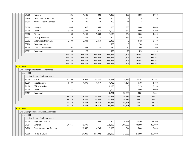| 31200             | Training                                     | 806     | 1,120   | 808     | 1,300   | 165             | 1,900   | 1,900   |  |
|-------------------|----------------------------------------------|---------|---------|---------|---------|-----------------|---------|---------|--|
| 31204             | <b>Environmental Services</b>                | 158     | 160     | 284     | 500     | 84              | 350     | 350     |  |
| 31304             | <b>Personal Health Services</b>              | 162     | 140     | 162     | 300     | 14              | 175     | 175     |  |
| 31600             | Postage                                      | 496     | 816     | 1,065   | 1,000   | 330             | 1,000   | 1,000   |  |
| 31700             | Travel                                       | 3,628   | 3,431   | 1,016   | 4,500   | 877             | 3,500   | 3,500   |  |
| 32200             | Printing                                     | 989     | 1,165   | 1,009   | 1,100   | 964             | 1,000   | 1,000   |  |
| 32602             | Liability Insurance                          | 218     | 222     | 111     | 400     | 111             | 350     | 350     |  |
| 32803             | Malpractice Insurance                        | 2,303   | 2,303   | 3,459   | 2,303   | 0               | 3,459   | 3,459   |  |
| 33700             | <b>Equipment Repair</b>                      |         |         |         | 500     | 0               | 500     | 500     |  |
| 35100             | Dues & Subscriptions                         | 105     | 298     | 35      | 580     | 80 <sup>°</sup> | 500     | 500     |  |
| 42601             | Equipment                                    | 138     | 120     |         | 500     | 13              | 250     | 250     |  |
|                   |                                              | 299,385 | 356,214 | 359,086 | 394,572 | 273,809         | 460,087 | 459,567 |  |
|                   |                                              | 299,385 | 356,214 | 359,086 | 394,572 | 273,809         | 460,087 | 459,567 |  |
|                   |                                              | 299,385 | 356,214 | 359,086 | 394,572 | 273,809         | 460,087 | 459,567 |  |
|                   |                                              | 299,385 | 356,214 | 359,086 | 394,572 | 273,809         | 460,087 | 459,567 |  |
| <b>Fund: 1168</b> |                                              |         |         |         |         |                 |         |         |  |
|                   | - Fund Description : Health Maintenance      |         |         |         |         |                 |         |         |  |
| $-$ Loc : 0000    |                                              |         |         |         |         |                 |         |         |  |
|                   | Loc Description : No Department              |         |         |         |         |                 |         |         |  |
| 12004             | Nurse                                        | 20,596  | 18,023  | 17,221  | 20,291  | 15,572          | 20,291  | 20,291  |  |
| 12301             | Social Security                              | 1,707   | 1,379   | 1,317   | 1,700   | 1,191           | 1,700   | 1,700   |  |
| 21100             | Office Supplies                              |         |         |         | 2,150   | 0               | 2,150   | 2,150   |  |
| 31700             | Travel                                       | 267     |         |         | 1,000   | 0               | 1,000   | 1,000   |  |
| 42601             | Equipment                                    |         |         |         | 8,281   | 38,030          | 8,281   | 8,281   |  |
|                   |                                              | 22,570  | 19,402  | 18,538  | 33,422  | 54,793          | 33,422  | 33,422  |  |
|                   |                                              | 22,570  | 19,402  | 18,538  | 33,422  | 54,793          | 33,422  | 33,422  |  |
|                   |                                              | 22,570  | 19,402  | 18,538  | 33,422  | 54,793          | 33,422  | 33,422  |  |
|                   |                                              | 22,570  | 19,402  | 18,538  | 33,422  | 54,793          | 33,422  | 33,422  |  |
| <b>Fund: 1169</b> |                                              |         |         |         |         |                 |         |         |  |
|                   | - Fund Description : Local Roads And Streets |         |         |         |         |                 |         |         |  |
| $-$ Loc : 0000    |                                              |         |         |         |         |                 |         |         |  |
|                   | Loc Description : No Department              |         |         |         |         |                 |         |         |  |
| 31100             | Legal Fees/Services                          |         |         | 809     | 12,500  | 6,332           | 12,500  | 12,500  |  |
| 31701             | <b>Materials</b>                             | 24,855  | 10,779  |         | 275,000 | 208,582         | 300,000 | 300,000 |  |
| 34200             | <b>Other Contractual Services</b>            |         | 10,557  | 4,735   | 5,000   | 644             | 5,000   | 5,000   |  |
| 42800             | Trucks & Equip                               |         | 64,900  | 111,002 | 250,000 | 24,539          | 250,000 | 250,000 |  |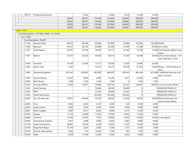| 30110          | <b>Professional Services</b>                       |         | 2,265   |         | 12,500  | 9,750    | 12,500   | 12,500          |                                                             |
|----------------|----------------------------------------------------|---------|---------|---------|---------|----------|----------|-----------------|-------------------------------------------------------------|
|                |                                                    | 24,855  | 88,501  | 116,546 | 555,000 | 249,847  | 580,000  | 580,000         |                                                             |
|                |                                                    | 24,855  | 88,501  | 116,546 | 555,000 | 249,847  | 580,000  | 580,000         |                                                             |
|                |                                                    | 24,855  | 88,501  | 116,546 | 555,000 | 249,847  | 580,000  | 580,000         |                                                             |
|                |                                                    | 24,855  | 88,501  | 116,546 | 555,000 | 249,847  | 580,000  | 580,000         |                                                             |
| - Fund: 1170   |                                                    |         |         |         |         |          |          |                 |                                                             |
|                | - Fund Description : LIT Public Safety - Co. Share |         |         |         |         |          |          |                 |                                                             |
| $-$ Loc : 0005 |                                                    |         |         |         |         |          |          |                 |                                                             |
|                | Loc Description : Sheriff                          |         |         |         |         |          |          |                 |                                                             |
| 11100          | <b>Elected Offical</b>                             | 86,923  | 88,248  | 88,298  | 105,000 | 76,088   | 105,000  | 105,000 Sheriff |                                                             |
| 11200          | Deputy/s                                           | 54,537  | 56,153  | 62,960  | 65,250  | 47,630   | 67,208   |                 | 67,940 Lynn, Kelly                                          |
| 11201          | Chief Deputy                                       | 55,907  | 57,616  | 58,095  | 59,151  | 43,186   | 73,500   |                 | 73,500 Chief Deputy added to pay<br>matrix                  |
| 11307          | Matron                                             | 37,427  | 38,535  | 40,063  | 40,014  | 32,030   | 45,448   |                 | 45,446 same as base deputy - will<br>have NEW title in 2022 |
| 11500          | Overtime                                           | 19,144  | 19,344  | 17,571  | 25,000  | 12,959   | 25,000   | 25,000          |                                                             |
| 11605          | Admin. Asst.                                       | 1,344   |         | 35,167  | 36,275  | 26,478   | 37,364   |                 | 53,820 ReJena - will be Matron in<br>2022                   |
| 11800          | Deputies/Sergeants                                 | 567,363 | 635,963 | 645,000 | 686,097 | 495,645  | 805,344  |                 | 821,868 2 additional deputies (still<br>have 1 to hire)     |
| 11903          | Special Deputy                                     | 35,947  | 9,860   | 6,480   | 22,200  | 3,477    | 22,200   | 8,490           |                                                             |
| 12000          | Merit Board                                        | 1,200   | 1,200   | 1,200   | 1,200   | $\Omega$ | 1,200    | 1,200           |                                                             |
| 12102          | Security Officers                                  | 71,283  | 70,527  | 70,606  | 102,724 | 56,167   | 109,891  |                 | 109,891 3 court security officers                           |
| 12301          | Social Security                                    |         |         | 75,684  | 86,500  | 58,489   | $\Omega$ |                 | 0 REMOVED FROM LIT                                          |
| 12402          | PERF                                               |         |         | 25,301  | 30,000  | 20,182   | $\Omega$ |                 | 0 REMOVED FROM LIT                                          |
| 12502          | <b>Sheriff Retirement</b>                          |         |         | 163,000 | 163,000 | 165,003  | $\Omega$ |                 | 0 REMOVED FROM LIT                                          |
| 22000          | Gas, Oil and Lube                                  | 70,937  | 66,484  | 55,535  | 56,650  | 61,658   | 56,650   |                 | 56,650 Reimbursements from<br>other County Offices          |
| 22200          | <b>Tires</b>                                       | 6,692   | 6,254   | 5,327   | 4,500   | 543      | 4,500    | 4,500           |                                                             |
| 22303          | Safety Dollars                                     | 5,000   | 5,000   | 5,000   | 5,000   | 5,000    | 5,000    | 5,000           |                                                             |
| 22601          | Other Supplies                                     | 5,983   | 6.471   | 6,462   | 6,500   | 2,373    | 6,500    | 6,500           |                                                             |
| 23300          | Garage                                             | 11,318  | 14,994  | 17,556  | 17,000  | 15,642   | 17,000   | 17,000          |                                                             |
| 24400          | Uniforms                                           | 13,625  | 10,184  | 7,957   | 24,600  | 12,059   | 20,000   |                 | $10,000$ 2 new deputy                                       |
| 24800          | Schooling & Supplies                               | 3,957   | 5,898   | 5,066   | 8,000   | 2,962    | 8,000    | 8,000           |                                                             |
| 31100          | Legal Fees/Services                                | 28,601  | 10,050  | 6,550   | 15,000  | 11,437   | 15,000   | 15,000          |                                                             |
| 33700          | Equipment Repair                                   | 41,754  | 2,234   | 2,845   | 3,300   | 1,371    | 3,300    | 3,300           |                                                             |
| 35100          | Dues & Subscriptions                               | 1,043   | 574     | 12,467  | 1,200   | 392      | 1,200    | 1,200           |                                                             |
| 35500          | Radio                                              | 8,328   | 12,190  | 12,240  | 11,000  | 3,055    | 11,000   | 11,000          |                                                             |
|                |                                                    |         |         |         |         |          |          |                 |                                                             |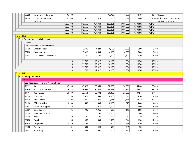|                   | 35700                               | Software Maintenance                     | 48,699    |           |           | 13,700    | 6,037     | 13,700    |           | 13,700 Lexipol                                         |
|-------------------|-------------------------------------|------------------------------------------|-----------|-----------|-----------|-----------|-----------|-----------|-----------|--------------------------------------------------------|
|                   | 42500                               | Computer Hardware<br>Purchase            | 23,958    | 31,876    | 5,313     | 15,000    | 819       | 25,000    |           | 15,000 Additional computers for<br>additional officers |
|                   |                                     |                                          | 1,200,970 | 1,149,655 | 1,431,743 | 1,603,861 | 1,160,682 | 1,479,005 | 1,479,005 |                                                        |
|                   |                                     |                                          | 1,200,970 | 1,149,655 | 1,431,743 | 1,603,861 | 1,160,682 | 1,479,005 | 1,479,005 |                                                        |
|                   |                                     |                                          | 1,200,970 | 1,149,655 | 1,431,743 | 1,603,861 | 1,160,682 | 1,479,005 | 1,479,005 |                                                        |
|                   |                                     |                                          | 1,200,970 | 1,149,655 | 1,431,743 | 1,603,861 | 1,160,682 | 1,479,005 | 1,479,005 |                                                        |
| <b>Fund: 1175</b> |                                     |                                          |           |           |           |           |           |           |           |                                                        |
|                   |                                     | - Fund Description : Jail Misdemeanant   |           |           |           |           |           |           |           |                                                        |
|                   | $-$ Loc : 0000                      |                                          |           |           |           |           |           |           |           |                                                        |
|                   |                                     | Loc Description : No Department          |           |           |           |           |           |           |           |                                                        |
|                   | 21100                               | Office Supplies                          |           | 2,796     | 4,223     | 6,500     | 3,939     | 6,500     | 6,500     |                                                        |
|                   | 33700                               | Equipment Repair                         |           | 5,312     | 4,604     | 6,000     | 4,625     | 6,000     | 6,000     |                                                        |
|                   | 33801                               | CJIS Network Connection                  |           | 3,600     | 3,600     | 3,600     | 2,700     | 1,200     | 1,200     |                                                        |
|                   |                                     |                                          | 0         | 11,708    | 12,427    | 16,100    | 11,264    | 13,700    | 13,700    |                                                        |
|                   |                                     |                                          | 0         | 11,708    | 12,427    | 16,100    | 11,264    | 13,700    | 13,700    |                                                        |
|                   |                                     |                                          | 0         | 11,708    | 12,427    | 16,100    | 11,264    | 13,700    | 13,700    |                                                        |
|                   |                                     |                                          | 0         | 11,708    | 12,427    | 16,100    | 11,264    | 13,700    | 13,700    |                                                        |
| <b>Fund: 1176</b> |                                     |                                          |           |           |           |           |           |           |           |                                                        |
|                   | - Fund Description : MVH            |                                          |           |           |           |           |           |           |           |                                                        |
|                   | $\overline{\phantom{a}}$ Loc : 0530 |                                          |           |           |           |           |           |           |           |                                                        |
|                   |                                     | Loc Description : Highway Administration |           |           |           |           |           |           |           |                                                        |
|                   | 11111                               | Supervisor                               | 48,390    | 49,823    | 63,069    | 52,823    | 38,581    | 54,408    | 78,408    |                                                        |
|                   | 11309                               | Assistant Supervisor                     | 43,372    | 43,969    | 32,642    | 44,243    | 32,314    | 46,082    | 57,570    |                                                        |
|                   | 11414                               | Book Keeper                              | 31,639    | 32,554    | 35,332    | 36,358    | 25,636    | 37,946    | 37,946    |                                                        |
|                   | 11500                               | Overtime                                 | 3,238     | 3,073     | 653       | 4,900     | 511       | 4,900     | 4,900     |                                                        |
|                   | 11610                               | <b>Book Keeper</b>                       | 27,494    | 29,279    | 31,041    | 32,781    | 23,354    | 34,276    | 34,276    |                                                        |
|                   | 21100                               | Office Supplies                          | 1,309     | 649       | 595       | 2,000     | 373       | 4,000     | 4,000     |                                                        |
|                   | 21302                               | Computer Supplies                        | 656       |           | 2,070     | 1,000     | $\Omega$  | 1,500     | 1,500     |                                                        |
|                   | 22601                               | Other Supplies                           | 195       | 725       | 1,966     | 500       | 116       | 3,000     | 3,000     |                                                        |
|                   | 31100                               | Legal Fees/Services                      |           |           | 1,280     | 2,000     | 0         | 2,000     | 2,000     |                                                        |
|                   | 31600                               | Postage                                  | 132       | 149       | 101       | 150       | 12        | 150       | 150       |                                                        |
|                   | 31700                               | Travel                                   | 298       | 480       | 635       | 1,500     | 544       | 1,500     | 1,500     |                                                        |
|                   | 31800                               | Telephone                                | 2,139     | 2,193     | 2,137     | 2,200     | 1,668     | 2,200     | 2,200     |                                                        |
|                   | 32200                               | Printing                                 | 281       | 699       | 344       | 500       | 301       | 500       | 500       |                                                        |
|                   | 32201                               | Advertising                              | 348       | 353       | 982       | 1,100     | 716       | 1,500     | 1,500     |                                                        |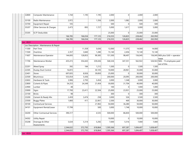| 32800     | Computer Maintenance                     | 1,744     | 1,195   | 1,195   | 2,000     | 0        | 2,000     | 2,000     |                                                          |
|-----------|------------------------------------------|-----------|---------|---------|-----------|----------|-----------|-----------|----------------------------------------------------------|
| 33100     | Radio Maintenance                        | 2,972     |         | 1,356   | 2,000     | 1,082    | 2,000     | 2,000     |                                                          |
| 33700     | Equipment Repair                         | 105       |         |         | 500       | 0        | 500       | 500       |                                                          |
| 35207     | Other Services & Charges                 | 2,473     | 893     | 1,727   | 5,000     | 1,617    | 5,000     | 5,000     |                                                          |
| 35305     | <b>ELTF Deductible</b>                   |           |         |         | 25,000    | 0        | 25,000    | 25,000    |                                                          |
|           |                                          | 166,785   | 166,034 | 177,125 | 216,555   | 126,825  | 228,462   | 263,950   |                                                          |
|           |                                          | 166,785   | 166,034 | 177,125 | 216,555   | 126,825  | 228,462   | 263,950   |                                                          |
| Loc: 0531 |                                          |           |         |         |           |          |           |           |                                                          |
|           | - Loc Description : Maintenance & Repair |           |         |         |           |          |           |           |                                                          |
| 11300     | Part Time                                |           | 11,359  | 5,636   | 12,000    | 11,575   | 14,000    | 14,000    |                                                          |
| 11500     | Overtime                                 | 2,357     | 3,840   | 1,280   | 15, 140   | 2,456    | 15,140    | 15,140    |                                                          |
| 11607     | Maintenance Operator                     | 144,693   | 128,853 | 99,385  | 151,500   | 98,497   | 156,045   |           | 156,045 NE6 plus $$.60 = operator$                       |
| 11706     | Maintenance Worker                       | 435,415   | 354,443 | 339,436 | 546,526   | 347,351  | 562,922   |           | wage<br>$526,922$ NE6 - 15 employees paid<br>out of this |
| 22201     | <b>Weed Spray</b>                        | 392       | 184     | 1,212   | 1,500     | 0        | 1,500     | 1,500     |                                                          |
| 22305     | Dustay Dust Control                      | 16,872    |         | 30,105  | 10,000    | 28,961   | 35,000    | 35,000    |                                                          |
| 22401     | Stone                                    | 697,835   | 8,926   | 39,850  | 25,000    | 0        | 30,000    | 30,000    |                                                          |
| 22500     | Bituminous                               | 553,054   | 5,436   |         | 200,000   | 20,095   | 200,000   | 200,000   |                                                          |
| 22602     | Hardware & Tools                         | 3,906     | 2,793   | 3,454   | 3,000     | 1,348    | 3,000     | 3,000     |                                                          |
| 22800     | Culverts & Pipes                         | 54,253    | 24,349  | 21,454  | 30,000    | 31,704   | 40,000    | 40,000    |                                                          |
| 22900     | Lumber                                   | 48        |         |         | 100       | 0        | 1,000     | 1,000     |                                                          |
| 23000     | Signs                                    | 17,700    | 23,411  | 22,504  | 25,000    | 23,931   | 25,000    | 25,000    |                                                          |
| 23100     | <b>Bricks</b>                            | 98        |         |         | 300       | $\Omega$ | 300       | 300       |                                                          |
| 23200     | Cement & Ready Mix                       | 2,459     | 3,474   | 258     | 3,000     | 526      | 3,500     | 3,500     |                                                          |
| 23500     | <b>Buggy Plates</b>                      | 1,800     | 411     | 22,061  | 2,500     | 469      | 30,000    | 30,000    |                                                          |
| 30100     | Contractural Services                    |           |         | 21,902  | 50,000    | 36,280   | 50,000    | 50,000    |                                                          |
| 34101     | <b>Equipment Rental/Lease</b>            | 17,799    |         | 500     | 3,000     | 1,748    | 10,000    | 10,000    |                                                          |
| 34200     | <b>Other Contractual Services</b>        | 390,317   |         | 4,535   | 500,000   | 86,830   | 500,000   | 500,000   |                                                          |
| 34302     | <b>Utility Repair</b>                    |           |         |         | 10,000    | 0        | 10,000    | 10,000    |                                                          |
| 35208     | Drainage & Other<br>Assessments          | 5,634     | 5,314   | 5,292   | 7,000     | 5,516    | 7,000     | 7,000     |                                                          |
|           |                                          | 2,344,632 | 572,793 | 618,864 | 1,595,566 | 697,287  | 1,694,407 | 1,658,407 |                                                          |
|           |                                          | 2,344,632 | 572,793 | 618,864 | 1,595,566 | 697,287  | 1,694,407 | 1,658,407 |                                                          |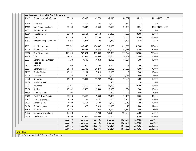| 11413 | Garage Mechanic (Salary)                | 39,298    | 40,316    | 41,778    | 42,848    | 28,997    | 44,118    |           | $44,118$ NE6 + \$1.20 |
|-------|-----------------------------------------|-----------|-----------|-----------|-----------|-----------|-----------|-----------|-----------------------|
| 11500 | Overtime                                | 795       | 1,595     | 726       | 3,000     | 340       | 340       | 340       |                       |
| 11609 | Asst Garage Mechanic                    | 37,584    | 38,642    | 40,554    | 41,600    | 30,333    | 43,347    |           | $43,347$ NE6 + \$.60  |
| 12103 | <b>Hepatitis Shots</b>                  |           |           |           | 100       | $\Omega$  | 100       | 100       |                       |
| 12301 | Social Security                         | 59,110    | 53,161    | 50,158    | 74,865    | 46,655    | 80,000    | 80,000    |                       |
| 12402 | PERF                                    | 108,275   | 88,587    | 83,139    | 104,700   | 76,666    | 105,000   | 105,000   |                       |
| 12501 | Random Drug & Alch Test                 | 1,076     | 2,013     | 1,790     | 2,250     | 1,391     | 2,250     | 2,250     |                       |
| 12601 | Health Insurance                        | 503,791   | 442,346   | 404,807   | 510,800   | 416,766   | 510,800   | 510,800   |                       |
| 12700 | Workman's Comp                          | 40,583    | 36,525    | 16,828    | 50,000    | 38,438    | 50,000    | 50,000    |                       |
| 22000 | Gas, Oil and Lube                       | 178,526   | 176,874   | 105,068   | 175,000   | 117,244   | 250,000   | 250,000   |                       |
| 22200 | <b>Tires</b>                            | 32,267    | 20,652    | 22,898    | 25,000    | 20,452    | 25,000    | 25,000    |                       |
| 22304 | Other Garage & Motor<br><b>Supplies</b> | 7,283     | 14, 116   | 14,868    | 15,000    | 11,831    | 15,000    | 15,000    |                       |
| 22501 | <b>Batteries</b>                        | 899       | 998       | 1,286     | 2,000     | 694       | 2,000     | 2,000     |                       |
| 22601 | Other Supplies                          | 61,654    | 69,118    | 54,277    | 70,000    | 34,090    | 70,000    | 70,000    |                       |
| 22603 | <b>Grader Blades</b>                    | 16,131    | 1,134     | 3,510     | 10,000    | $\Omega$  | 10,000    | 10,000    |                       |
| 22700 | Fasteners                               | 584       | 120       | 1,174     | 2,000     | 1,066     | 2,000     | 2,000     |                       |
| 24400 | Uniforms                                | 14,139    | 11,831    | 11,732    | 15,000    | 10,694    | 15,000    | 15,000    |                       |
| 32600 | Unemployment                            |           |           |           | 500       | $\Omega$  | 500       | 500       |                       |
| 32802 | Insurance                               | 59,011    | 67,766    | 77,845    | 66,000    | $\Omega$  | 80,000    | 80,000    |                       |
| 33102 | <b>Utlities</b>                         | 16,942    | 16,677    | 16,503    | 17,000    | 16,524    | 18,000    | 18,000    |                       |
| 33604 | Machine Work                            | 102       |           |           | 1,500     | 0         | 1,500     | 1,500     |                       |
| 33703 | Truck & Tract Repairs                   | 27,043    | 33,517    | 41,368    | 35,000    | 11,135    | 45,000    | 45,000    |                       |
| 33902 | Road Equip Repairs                      | 2,375     | 755       | 2,142     | 10,000    | 1,144     | 10,000    | 10,000    |                       |
| 34002 | <b>Other Repairs</b>                    | 4,392     | 18,401    | 3,699     | 10,000    | 1,240     | 10,000    | 10,000    |                       |
| 34100 | Garage Repairs                          | 19,593    | 326       | 19,820    | 11,000    | 72        | 11,000    | 11,000    |                       |
| 34300 | Wrecker                                 | 1,550     |           | 625       | 4,000     | 6,850     | 7,000     | 7,000     |                       |
| 42602 | Garage & Office Equip                   | 10,353    |           | 21,738    | 170,000   | 151,589   | 50,000    | 50,000    |                       |
| 42800 | Trucks & Equip                          | 559,763   | 95,685    | 322,853   | 150,000   | $\Omega$  | 150,000   | 150,000   |                       |
|       |                                         | 1,803,119 | 1,231,155 | 1,361,186 | 1,619,163 | 1,024,211 | 1,607,955 | 1,607,955 |                       |
|       |                                         | 1,803,119 | 1,231,155 | 1,361,186 | 1,619,163 | 1,024,211 | 1,607,955 | 1,607,955 |                       |
|       |                                         | 4,314,536 | 1,969,982 | 2,157,175 | 3,431,284 | 1,848,323 | 3,530,824 | 3,530,312 |                       |
|       |                                         | 4,314,536 | 1,969,982 | 2,157,175 | 3,431,284 | 1,848,323 | 3,530,824 | 3,530,312 |                       |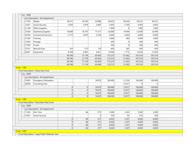| Loc: 0000         |                                                |                  |           |         |         |          |         |         |  |
|-------------------|------------------------------------------------|------------------|-----------|---------|---------|----------|---------|---------|--|
| $\blacksquare$    | Loc Description : No Department                |                  |           |         |         |          |         |         |  |
| 11704             | Wages                                          | 38,321           | 40,182    | 32,808  | 56,622  | 28,234   | 58,321  | 58,321  |  |
| 12301             | Social Security                                | 2,932            | 3,074     | 2,482   | 4,493   | 2,160    | 4,493   | 4,493   |  |
| 21100             | Office Supplies                                |                  |           |         | 1,000   | $\Omega$ | 1,000   | 1,000   |  |
| 21500             | <b>Operating Supplies</b>                      | 16,838           | 16,707    | 17,517  | 26,600  | 14,404   | 22,000  | 22,000  |  |
| 30100             | Contractural Services                          | 2,173            | 4,507     | 5,530   | 6,000   | 4,284    | 6,000   | 6,000   |  |
| 31200             | Training                                       |                  |           |         | 2,000   | 280      | 2,000   | 2,000   |  |
| 31600             | Postage                                        |                  |           |         | 400     | $\Omega$ | 400     | 400     |  |
| 31700             | Travel                                         |                  |           |         | 500     | $\Omega$ | 500     | 500     |  |
| 35101             | Refund-Dues                                    | 163              | 215       | 176     | 600     | 285      | 450     | 450     |  |
| 42601             | Equipment                                      | 8,769            | 6,491     | 4,921   | 15,000  | 1,715    | 12,050  | 12,050  |  |
|                   |                                                | 69,196           | 71,176    | 63,434  | 113,215 | 51,362   | 107,214 | 107,214 |  |
|                   |                                                | 69,196           | 71,176    | 63,434  | 113,215 | 51,362   | 107,214 | 107,214 |  |
|                   |                                                | 69,196           | 71,176    | 63,434  | 113,215 | 51,362   | 107,214 | 107,214 |  |
|                   |                                                | 69,196           | 71,176    | 63,434  | 113,215 | 51,362   | 107,214 | 107,214 |  |
| - Fund: 1186      |                                                |                  |           |         |         |          |         |         |  |
|                   | - Fund Description : Rainy Day Fund            |                  |           |         |         |          |         |         |  |
| $-$ Loc : 0000    |                                                |                  |           |         |         |          |         |         |  |
|                   | - Loc Description : No Department              |                  |           |         |         |          |         |         |  |
| 31603             | Emergency Declaration                          |                  |           | 19,679  | 100,000 | (1, 274) | 100,000 | 100,000 |  |
| 38300             | Consulting Fees                                |                  |           |         |         | 14,351   | 0       | 0       |  |
|                   |                                                | $\overline{0}$   | 0         | 19,679  | 100,000 | 13,077   | 100,000 | 100,000 |  |
|                   |                                                | $\boldsymbol{0}$ | 0         | 19,679  | 100,000 | 13,077   | 100,000 | 100,000 |  |
|                   |                                                | $\overline{0}$   | 0         | 19,679  | 100,000 | 13,077   | 100,000 | 100,000 |  |
|                   |                                                | 0                | $\vert$ 0 | 19,679  | 100,000 | 13,077   | 100,000 | 100,000 |  |
| - Fund: 1189      |                                                |                  |           |         |         |          |         |         |  |
|                   | - Fund Description : Recorders Perp Fund       |                  |           |         |         |          |         |         |  |
| $-$ Loc : 0000    |                                                |                  |           |         |         |          |         |         |  |
| $\blacksquare$    | Loc Description : No Department                |                  |           |         |         |          |         |         |  |
| 11300             | Part Time                                      |                  | 66        | 273     | 5,500   | 1,242    | 5,500   | 5,500   |  |
| 12301             | Social Security                                |                  |           | $\vert$ | 550     | 95       | 550     | 550     |  |
|                   |                                                | $\overline{0}$   | 66        | 277     | 6,050   | 1,337    | 6,050   | 6,050   |  |
|                   |                                                | $\overline{0}$   | 66        | 277     | 6,050   | 1,337    | 6,050   | 6,050   |  |
|                   |                                                | $\overline{0}$   | 66        | 277     | 6,050   | 1,337    | 6,050   | 6,050   |  |
| <b>Fund: 1200</b> |                                                | 0                | 66        | 277     | 6,050   | 1,337    | 6,050   | 6,050   |  |
|                   |                                                |                  |           |         |         |          |         |         |  |
|                   | - Fund Description : Supp Public Defender Serv |                  |           |         |         |          |         |         |  |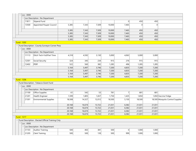|              |                          | Loc: 0000      |                                                     |        |        |        |        |                |          |                |                                  |
|--------------|--------------------------|----------------|-----------------------------------------------------|--------|--------|--------|--------|----------------|----------|----------------|----------------------------------|
|              | $\overline{\phantom{a}}$ |                | Loc Description : No Department                     |        |        |        |        |                |          |                |                                  |
|              |                          | 11811          | Stipend Fund                                        |        |        |        |        | 0              | 450      | 450            |                                  |
|              |                          | 13500          | Appointed Pauper Council                            | 5,385  | 7,343  | 7,509  | 10,000 | 7,465          | $\Omega$ | $\overline{0}$ |                                  |
|              |                          |                |                                                     | 5,385  | 7,343  | 7,509  | 10,000 | 7,465          | 450      | 450            |                                  |
|              |                          |                |                                                     | 5,385  | 7,343  | 7,509  | 10,000 | 7,465          | 450      | 450            |                                  |
|              |                          |                |                                                     | 5,385  | 7,343  | 7,509  | 10,000 | 7,465          | 450      | 450            |                                  |
|              |                          |                |                                                     | 5,385  | 7,343  | 7,509  | 10,000 | 7,465          | 450      | 450            |                                  |
| - Fund: 1202 |                          |                |                                                     |        |        |        |        |                |          |                |                                  |
|              |                          |                | - Fund Description : County Surveyor Corner Perp    |        |        |        |        |                |          |                |                                  |
|              |                          | $-$ Loc : 0000 |                                                     |        |        |        |        |                |          |                |                                  |
|              | $\blacksquare$           |                | Loc Description : No Department                     |        |        |        |        |                |          |                |                                  |
|              |                          | 11113          | Ditch Tech-Full/Part Time                           | 4,318  | 4,592  | 3,130  | 5,000  | 4,063          | 5,000    | 5,000          |                                  |
|              |                          | 12301          | Social Security                                     | 324    | 345    | 234    | 915    | 276            | 915      | 915            |                                  |
|              |                          | 12402          | PERF                                                | 522    | 560    | 382    | 1,285  | 496            | 1,285    | 1,285          |                                  |
|              |                          |                |                                                     | 5,164  | 5,497  | 3,746  | 7,200  | 4,835          | 7,200    | 7,200          |                                  |
|              |                          |                |                                                     | 5,164  | 5,497  | 3,746  | 7,200  | 4,835          | 7,200    | 7,200          |                                  |
|              |                          |                |                                                     | 5,164  | 5,497  | 3,746  | 7,200  | 4,835          | 7,200    | 7,200          |                                  |
|              |                          |                |                                                     | 5,164  | 5,497  | 3,746  | 7,200  | 4,835          | 7,200    | 7,200          |                                  |
| Fund: 1206   |                          |                |                                                     |        |        |        |        |                |          |                |                                  |
|              |                          |                | - Fund Description : Tobacco Grant Fund             |        |        |        |        |                |          |                |                                  |
|              |                          | $-$ Loc : 0000 |                                                     |        |        |        |        |                |          |                |                                  |
|              |                          |                | Loc Description : No Department                     |        |        |        |        |                |          |                |                                  |
|              |                          | 21100          | Office Supplies                                     | 61     | 542    | 53     | 781    | 7 <sup>1</sup> | 681      | 681            |                                  |
|              |                          | 21201          | Health Engineer                                     | 1,599  | 1,805  | 1,657  | 1,750  | 1,425          | 1,850    |                | 1,850 Vaccine Fridge             |
|              |                          | 21301          | <b>Environmental Supplies</b>                       | 18,508 | 14,327 | 12,012 | 18,500 | 5,150          | 18,500   |                | 18,500 Mosquito Control Supplies |
|              |                          |                |                                                     | 20,168 | 16,674 | 13,722 | 21,031 | 6,582          | 21,031   | 21,031         |                                  |
|              |                          |                |                                                     | 20,168 | 16,674 | 13,722 | 21,031 | 6,582          | 21,031   | 21,031         |                                  |
|              |                          |                |                                                     | 20,168 | 16,674 | 13,722 | 21,031 | 6,582          | 21,031   | 21,031         |                                  |
|              |                          |                |                                                     | 20,168 | 16,674 | 13,722 | 21,031 | 6,582          | 21,031   | 21,031         |                                  |
| - Fund: 1217 |                          |                |                                                     |        |        |        |        |                |          |                |                                  |
|              |                          |                | - Fund Description : Elected Official Training Cnty |        |        |        |        |                |          |                |                                  |
|              |                          | $-$ Loc : 0000 |                                                     |        |        |        |        |                |          |                |                                  |
|              |                          |                | Loc Description : No Department                     |        |        |        |        |                |          |                |                                  |
|              |                          | 31103          | Auditor Training                                    | 500    | 402    | 381    | 500    | 0              | 1,000    | 1,000          |                                  |
|              |                          | 31205          | Clerk Training                                      | 500    | 500    | 139    | 500    | 999            | 1,000    | 1,000          |                                  |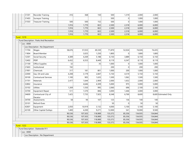|              | 31301             | <b>Recorder Training</b>                  | 416    | 368     | 150     | 500     | 1,319    | 2,000   | 2,000   |                      |
|--------------|-------------------|-------------------------------------------|--------|---------|---------|---------|----------|---------|---------|----------------------|
|              | 31403             | Surveyor Training                         |        |         |         | 500     | $\Omega$ | 1,000   | 1,000   |                      |
|              | 31503             | <b>Treasurer Training</b>                 | 500    | 500     | 152     | 500     | $\Omega$ | 1,000   | 1,000   |                      |
|              |                   |                                           | 1,916  | 1,770   | 822     | 2,500   | 2,318    | 6,000   | 6,000   |                      |
|              |                   |                                           | 1,916  | 1,770   | 822     | 2,500   | 2,318    | 6,000   | 6,000   |                      |
|              |                   |                                           | 1,916  | 1,770   | 822     | 2,500   | 2,318    | 6,000   | 6,000   |                      |
|              |                   |                                           | 1,916  | 1,770   | 822     | 2,500   | 2,318    | 6,000   | 6,000   |                      |
| - Fund: 1219 |                   |                                           |        |         |         |         |          |         |         |                      |
|              |                   | - Fund Description : Parks And Recreation |        |         |         |         |          |         |         |                      |
|              | $-$ Loc : 0000    |                                           |        |         |         |         |          |         |         |                      |
|              |                   | Loc Description : No Department           |        |         |         |         |          |         |         |                      |
|              | 11704             | Wages                                     | 58,676 | 57,033  | 69,330  | 71,870  | 52,024   | 74,026  | 74,435  |                      |
|              | 11804             | Board Member                              |        | 3,025   | 1,250   | 1,800   | 0        | 1,800   | 1,800   |                      |
|              | 12301             | Social Security                           | 4,389  | 4,269   | 5,188   | 6,150   | 3,889    | 6,150   | 6,150   |                      |
|              | 12402             | <b>PERF</b>                               | 6,432  | 6,553   | 8,449   | 8,119   | 6,347    | 8,119   | 8,119   |                      |
|              | 21100             | Office Supplies                           | 32     |         | 35      | 1,000   | $\Omega$ | 1,000   | 1,000   |                      |
|              | 21603             | Institutional                             | 192    |         |         | 200     | $\Omega$ | 200     | 200     |                      |
|              | 21901             | Chemicals                                 | 317    | 181     | 801     | 1,000   | 200      | 1,000   | 1,000   |                      |
|              | 22000             | Gas, Oil and Lube                         | 4,208  | 3,179   | 2,847   | 5,150   | 4,519    | 5,150   | 5,150   |                      |
|              | 30100             | <b>Contractural Services</b>              | 1,100  | 905     | 1,635   | 1,500   | 1,062    | 1,500   | 1,500   |                      |
|              | 31701             | Materials                                 | 2,477  | 1,644   | 2,909   | 2,000   | 1,652    | 2,000   | 2,000   |                      |
|              | 32802             | Insurance                                 |        | 4,646   | 4,309   | 5,000   | 975      | 5,000   | 5,000   |                      |
|              | 33102             | <b>Utlities</b>                           | 1,269  | 1,550   | 995     | 2,060   | 696      | 2,100   | 2,100   |                      |
|              | 33700             | Equipment Repair                          | 511    | 1,570   | 806     | 3,000   | 1,446    | 3,000   | 3,000   |                      |
|              | 34600             | Contractural-City of                      | 7,425  | 7,735   | 7,925   | 8,348   | 6,769    | 8,600   |         | 8,600 Estimated Only |
|              |                   | Decatur                                   |        |         |         |         |          |         |         |                      |
|              | 34700             | Assessments                               | 58     | 94      | 107     | 125     | 136      | 140     | 140     |                      |
|              | 35101             | Refund-Dues                               |        |         |         | 50      | 0        | 50      | 50      |                      |
|              | 42601             | Equipment                                 | 2,050  | 10,919  | 3,132   | 4,000   | 5,100    | 5,100   | 5,100   |                      |
|              | 43100             | Other Capital Outlays                     | 1,400  | 4,200   | 9,271   | 12,000  | 541      | 10,000  | 9,500   |                      |
|              |                   |                                           | 90,536 | 107,503 | 118,989 | 133,372 | 85,356   | 134,935 | 134,844 |                      |
|              |                   |                                           | 90,536 | 107,503 | 118,989 | 133,372 | 85,356   | 134,935 | 134,844 |                      |
|              |                   |                                           | 90,536 | 107,503 | 118,989 | 133,372 | 85,356   | 134,935 | 134,844 |                      |
|              |                   |                                           | 90,536 | 107,503 | 118,989 | 133,372 | 85,356   | 134,935 | 134,844 |                      |
|              | <b>Fund: 1222</b> |                                           |        |         |         |         |          |         |         |                      |
|              |                   | - Fund Description : Statewide 911        |        |         |         |         |          |         |         |                      |
|              | $-$ Loc : 0000    |                                           |        |         |         |         |          |         |         |                      |

- Loc Description : No Department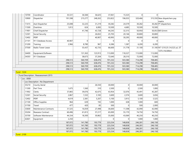| 10700             | Coordinator                            | 35,531             | 36,584             | 36,625             | 37,061             | 15,525             | 0                  | 0                  |                                                      |
|-------------------|----------------------------------------|--------------------|--------------------|--------------------|--------------------|--------------------|--------------------|--------------------|------------------------------------------------------|
| 10900             | Dispatcher                             | 191,598            | 215,277            | 248,263            | 253,822            | 196,033            | 320,466            |                    | 315,550 New dispatchers pay<br>matrix                |
| 11415             | Asst Dispatcher                        | 25,698             | 32,225             | 31,219             | 30,282             | 24,579             | 30,282             |                    | 30,282 PT dispatchers                                |
| 11500             | Overtime                               | 1,813              | 624                | 6,083              | 10,500             | 4,685              | 10,500             | 10,500             |                                                      |
| 11901             | Chief Dispatcher                       |                    | 41,746             | 43,728             | 44,243             | 32,315             | 50,950             |                    | 50,053 Bill Grimm                                    |
| 12301             | Social Security                        |                    |                    | 26,832             | 25,705             | 20,146             | 30,800             | 30,800             |                                                      |
| 12402             | PERF                                   |                    |                    | 40,907             | 40,993             | 30,295             | 49,000             | 49,000             |                                                      |
| 21101             | 911 Database Access                    | 40,907             | $\Omega$           |                    | 0                  | 0                  | $\Omega$           | $\mathbf 0$        |                                                      |
| 31200             | Training                               | 2,966              | 8,780              | 967                | 6,386              | 1,587              | 6,200              | 6,200              |                                                      |
| 37500             | Radio Tower Lease                      |                    | 55,437             | 42,735             | 66,600             | 31,778             | 31,100             |                    | 31,100 NT 1210.25 (14,523 yr), ST<br>1375 (16,500yr) |
| 34400             | Equipment/Software                     |                    | 131,363            | 123,913            | 113,000            | 118,327            | 113,000            | 113,000            |                                                      |
| 34303             | 911 Database                           |                    | 38,673             | 37,204             | 72,640             | 28,310             | 72,000             | 72,000             |                                                      |
|                   |                                        | 298,513            | 560,709            | 638,476            | 701,232            | 503,580            | 714,298            | 708,485            |                                                      |
|                   |                                        | 298,513            | 560,709            | 638,476            | 701,232            | 503,580            | 714,298            | 708,485            |                                                      |
|                   |                                        | 298,513            | 560,709            | 638,476            | 701,232            | 503,580            | 714,298            | 708,485            |                                                      |
|                   |                                        | 298,513            | 560,709            | 638,476            | 701,232            | 503,580            | 714,298            | 708,485            |                                                      |
| <b>Fund: 1224</b> |                                        |                    |                    |                    |                    |                    |                    |                    |                                                      |
|                   | - Fund Description : Reassessment 2015 |                    |                    |                    |                    |                    |                    |                    |                                                      |
| $-$ Loc : 0000    | Loc Description : No Department        |                    |                    |                    |                    |                    |                    |                    |                                                      |
| 35210             | County Aerial                          |                    |                    | 26,550             | 30,000             | 0                  | 30,000             | 30,000             |                                                      |
| 11300             | Part Time                              | 1,675              | 1,560              | 310                | 2,500              | 0                  | 2,500              | 1,000              |                                                      |
| 11902             | Clerks                                 | 37,865             | 39,076             | 42,675             | 43,954             | 32,076             | 45,491             | 45,287             |                                                      |
| 12301             | Social Security                        | 2,867              | 1,532              | 3,183              | 3,600              | 2,374              | 3,600              | 3,656              |                                                      |
| 12402             | PERF                                   | 4,619              | 2,381              | 5,207              | 5,100              | 3,913              | 5,100              | 5,525              |                                                      |
| 21100             | Office Supplies                        | 964                | 639                | 192                | 1,000              | 638                | 1,000              | 600                |                                                      |
| 31700             | Travel                                 | 477                | 420                | 85                 | 500                | 0                  | 500                | 2,000              |                                                      |
| 33600             | Maintenance Contracts                  |                    |                    |                    |                    |                    | 42,090             |                    |                                                      |
| 35204             | Reassess Contract                      | 31,525             | 16,059             | 27,498             | 36,600             | 11,598             |                    | 42,090             |                                                      |
|                   |                                        | 60,496             | 61,813             | 57,217             | 65,000             | 55,170             | 74,750             | 74,750             |                                                      |
| 35700             | Software Maintenance                   | 44,334             | 18,300             | 30,862             | 35,000             | 43,069             | 40,250             | 40,250             |                                                      |
| 42601             | Equipment                              | 2,250              |                    |                    | $\Omega$           | 0                  | 1,000              | 1,000              |                                                      |
|                   |                                        | 187,072            | 141,780            | 193,779            | 223,254            | 148,838            | 246,281            | 246,158            |                                                      |
|                   |                                        | 187,072<br>187,072 | 141,780<br>141,780 | 193,779<br>193,779 | 223,254<br>223,254 | 148,838<br>148,838 | 246,281<br>246,281 | 246,158<br>246,158 |                                                      |
|                   |                                        | 187,072            | 141,780            | 193,779            | 223,254            | 148,838            | 246,281            | 246,158            |                                                      |
| - Fund : 2100     |                                        |                    |                    |                    |                    |                    |                    |                    |                                                      |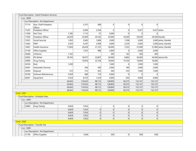|                                   | - Fund Description : Adult Probation Services |                |                |          |          |                             |                      |                |                       |
|-----------------------------------|-----------------------------------------------|----------------|----------------|----------|----------|-----------------------------|----------------------|----------------|-----------------------|
| $-$ Loc : 0000                    |                                               |                |                |          |          |                             |                      |                |                       |
|                                   | - Loc Description : No Department             |                |                |          |          |                             |                      |                |                       |
| 11114                             | Asst. Chief Probation<br>Officer              |                | 3,101          | 288      | 0        | $\Omega$                    | $\Omega$             | $\Omega$       |                       |
| 11207                             | Probation Officer                             |                | 6,996          | 3,764    | 0        | $\Omega$                    | 9,357                |                | $9,357$ Jaime         |
| 11300                             | Part Time                                     | 1,185          | 1,115          | 75       | 5,000    | $\Omega$                    | $\Omega$             | $\overline{0}$ |                       |
| 11504                             | <b>Probation Officer</b>                      | 24,039         | 25,000         | 20,192   | 25,000   | 18,269                      | 29,500               |                | 29,500 Danelle        |
| 12301                             | Social Security                               | 1,952          | 2,682          | 1,808    | 3,000    | 1,298                       | 3,000                |                | 3,000 Jaime, Danelle  |
| 12402                             | PERF                                          | 2,933          | 4,247          | 2,958    | 4,000    | 2,229                       | 5,000                |                | 5,000 Jaime, Danelle  |
| 12601                             | Health Insurance                              | 11,834         | 26,639         | 21,125   | 36,000   | 7,252                       | 31,000               |                | 31,000 Jaime, Danelle |
| 21100                             | Office Supplies                               |                | 1,541          | 488      | 2,000    | $\Omega$                    | 2,000                | 2,000          |                       |
| 24400                             | Uniforms                                      | 1,102          |                |          | 300      | 162                         | 300                  | 300            |                       |
| 33002                             | PSI Writer                                    | 18,743         | 18,077         | 22,807   | 26,000   | 8,892                       | 26,000               |                | 26,000 Jessica Nix    |
| 33800                             | Drug Testing                                  |                | 10,950         | 23,158   | 18,000   | 19,104                      | 18,000               | 18,000         |                       |
| 34104                             | Rent                                          | 1,200          |                |          | 1,000    | 0                           | 1,000                | 1,000          |                       |
| 34301                             | Interpreter Services                          |                | 560            | 340      | 2,000    | 180                         | 2,000                | 2,000          |                       |
| 34500                             | Disposal                                      | 312            | 312            | 305      | 500      | 335                         | 1,000                | 1,000          |                       |
| 35700                             | Software Maintenance                          | 2,039          | 680            | 170      | 2,000    | $\Omega$                    | $\Omega$             | $\Omega$       |                       |
| 42601                             | Equipment                                     | 4,324          | 8,735          | 1,234    | 4,000    | 654                         | 4,000                | 4,000          |                       |
|                                   |                                               | 69,663         | 110,635        | 98,712   | 128,800  | 58,375                      | 132,157              | 132,157        |                       |
|                                   |                                               | 69,663         | 110,635        | 98,712   | 128,800  | 58,375                      | 132,157              | 132,157        |                       |
|                                   |                                               | 69,663         | 110,635        | 98,712   | 128,800  | 58,375                      | 132,157              | 132,157        |                       |
|                                   |                                               | 69,663         | 110,635        | 98,712   | 128,800  | 58,375                      | 132,157              | 132,157        |                       |
| - Fund: 2501                      |                                               |                |                |          |          |                             |                      |                |                       |
|                                   | - Fund Description : Urinalysis Fees          |                |                |          |          |                             |                      |                |                       |
| $-$ Loc : 0000                    |                                               |                |                |          |          |                             |                      |                |                       |
|                                   | Loc Description : No Department               |                |                |          |          |                             |                      |                |                       |
| 33800                             | Drug Testing                                  | 9,829          | 7,053          |          | 0        | 0                           | 0                    | 0              |                       |
|                                   |                                               | 9,829<br>9,829 | 7,053<br>7,053 | 0 <br> 0 | 0        | $\vert$ 0<br>$\overline{0}$ | $\overline{0}$<br> 0 | 0 <br> 0       |                       |
|                                   |                                               | 9,829          | 7,053          | 0        | 0 <br> 0 | $\Omega$                    | $\overline{0}$       | 0              |                       |
|                                   |                                               | 9,829          | 7,053          | 0        | 0        | 0                           | $\overline{0}$       | 0              |                       |
| - Fund: 2502                      |                                               |                |                |          |          |                             |                      |                |                       |
| - Fund Description : Transfer Fee |                                               |                |                |          |          |                             |                      |                |                       |
| $-$ Loc : 0000                    |                                               |                |                |          |          |                             |                      |                |                       |
|                                   | Loc Description : No Department               |                |                |          |          |                             |                      |                |                       |
| 21100                             | Office Supplies                               |                | 1,046          |          | 200      | $\overline{0}$              | 500                  | 500            |                       |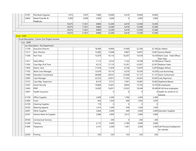| 31501<br>7,675<br>7,875<br>7,800<br>10,000<br>10,000<br>Plat Book Engineer<br>6,419 | 10,000                                         |
|-------------------------------------------------------------------------------------|------------------------------------------------|
|                                                                                     |                                                |
| Maint/Transfer &<br>33602<br>3,000<br>3,000<br>2,000<br>2,000<br>$\Omega$<br>2,000  | 2,000                                          |
| PlatBooks                                                                           |                                                |
| 12,200<br>10,675<br>11,921<br>9,800<br>12,500<br>6,419                              | 12,500                                         |
| 10,675<br>11,921<br>9,800<br>12,200<br>12,500<br>6,419                              | 12,500                                         |
| 10,675<br>11,921<br>12,200<br>12,500<br>9,800<br>6,419                              | 12,500                                         |
| 10,675<br>11,921<br>9,800<br>12,200<br>12,500<br>6,419                              | 12,500                                         |
| <b>Fund: 2540</b>                                                                   |                                                |
| - Fund Description : Comm Corr Project Income                                       |                                                |
| $-$ Loc : 0000                                                                      |                                                |
| Loc Description: No Department                                                      |                                                |
| 19,969<br>22,740<br>11109<br><b>Executive Director</b><br>18,490<br>15,009          | 22,740 lan Gilbert                             |
| 12,082<br>13,048<br>9,807<br>14,857<br>11211<br>Asst. Director                      | 14,857 Jeremy Wetter                           |
| 11300<br>Part Time<br>13,679<br>14,116<br>10,297<br>14,539                          | 14,539 Mark Cook - Field Officer               |
|                                                                                     | Part Time                                      |
| Field Officer<br>9,510<br>10,799<br>7,115<br>7,143<br>11411                         | 10,799 Aaron Thieme                            |
| 22,957<br>11502<br>Case Mgr./Full Time<br>9,215<br>17,110<br>12,291                 | 22,957 Madison Hake                            |
| 11605<br>Admin. Asst.<br>11,018<br>11,659<br>12,870<br>8,158                        | 12,870 Magen Wilson                            |
| 11702<br>Work Crew Manager<br>13,679<br>14, 116<br>9,379<br>14,539                  | 14,539 Lucas Rumschlag                         |
| 11900<br><b>Education Coordinator</b><br>29,541<br>28,689<br>21,828<br>31,137       | 31,137 Aaron Scheumann                         |
| Case Manager<br>22,252<br>23,812<br>12005<br>17,345<br>24,565                       | 24,565 Carly Raymond                           |
| 12101<br>Case Mgr. Supervisor<br>8,210<br>9,712<br>7,041<br>10,465                  | 10,465 Stephanie Beaver                        |
| 12,601<br>13,730<br>12301<br>Social Security<br>10,846<br>8,854                     | 13,730 All employees                           |
| PERF<br>12402<br>14,283<br>16,651<br>12,032<br>18,348                               | 18,348 All full time employees                 |
| 0 <br>$\Omega$<br>$\Omega$<br>12601<br>Health Insurance                             | $0$ Health Ins reimb to Co                     |
|                                                                                     | General                                        |
| 2,699<br>3,300<br>1,706<br>3,300<br>21100<br>Office Supplies                        | 3,300                                          |
| 21600<br>656<br>1,050<br>1,050<br>Food<br>409                                       | 1,050                                          |
| <b>Cleaning Supplies</b><br>119<br>22100<br> 0 <br> 0 <br>$\Omega$                  | 0                                              |
| 22302<br><b>Wearing Apparel</b><br>1,414<br>1,500<br>478<br>1,500                   | 1,500                                          |
| 22601<br>Other Supplies<br>2,064<br>2,000<br>2,000<br>449                           | 2,000 Education Supplies                       |
| 23301<br>Vehicle Maint & Supplies<br>2,086<br>2,900<br>2,900<br>2,615               | 2,900                                          |
|                                                                                     |                                                |
| 30100<br>Contractural Services<br>200<br> 0 <br>200                                 | 200                                            |
| 31200<br>3,600<br>2,780<br>3,600<br>Training<br>2,112                               | 3,600                                          |
| 3,300<br>31800<br>Telephone<br>2,141<br>3,300<br>1,581                              | 3,300 Cell Phones/Cradlepoints<br>for vehicles |
| 250<br>32200<br>Printing<br>230<br>103<br>250                                       |                                                |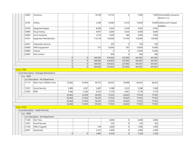|              | 32802          | Insurance                                 |                |        | 16,769  | 14,732  | $\Omega$ | 7,000   |         | 7,000 Auto/Liability Insurance -           |
|--------------|----------------|-------------------------------------------|----------------|--------|---------|---------|----------|---------|---------|--------------------------------------------|
|              |                |                                           |                |        |         |         |          |         |         | Reimb to Co                                |
|              | 33102          | <b>Utlities</b>                           |                |        | 3,296   | 10,000  | 6,376    | 10,000  |         | 10,000 Utilities pd for leased<br>building |
|              | 33700          | Equipment Repair                          |                |        | 8,958   | 9,505   | 3,078    | 9,505   | 9,505   |                                            |
|              | 33800          | <b>Drug Testing</b>                       |                |        | 9,947   | 6,600   | 4,254    | 6,600   | 6,600   |                                            |
|              | 34004          | <b>Court Solutions</b>                    |                |        | 2,516   | 3,000   | 389      | 3,000   | 3,000   |                                            |
|              | 34101          | Equipment Rental/Lease                    |                |        | 115,270 | 150,000 | 74,194   | 150,000 | 150,000 |                                            |
|              | 34301          | Interpreter Services                      |                |        |         | 250     | 0        | 250     | 250     |                                            |
|              | 42600          | Office Equipment                          |                |        | 757     | 10,000  | 307      | 10,000  | 10,000  |                                            |
|              | 44800          | Vehicle                                   |                |        |         | 0       | 0        | 15,000  | 15,000  |                                            |
|              | 34005          | Pest Control                              |                |        |         | 600     | 0        | 600     | 600     |                                            |
|              |                |                                           | 0              | 0      | 340,592 | 414,632 | 237,903  | 441,601 | 441,601 |                                            |
|              |                |                                           | 0              | 0      | 340,592 | 414,632 | 237,903  | 441,601 | 441,601 |                                            |
|              |                |                                           | 0              | 0      | 340,592 | 414,632 | 237,903  | 441,601 | 441,601 |                                            |
|              |                |                                           | 0              | 0      | 340,592 | 414,632 | 237,903  | 441,601 | 441,601 |                                            |
| - Fund: 2700 |                |                                           |                |        |         |         |          |         |         |                                            |
|              |                | - Fund Description : Drainage Maintanence |                |        |         |         |          |         |         |                                            |
|              | $-$ Loc : 0000 |                                           |                |        |         |         |          |         |         |                                            |
|              |                | - Loc Description : No Department         |                |        |         |         |          |         |         |                                            |
|              | 11113          | Ditch Tech-Full/Part Time                 | 52,893         | 43,405 | 49,775  | 66,567  | 36,809   | 66,567  | 66,567  |                                            |
|              | 12301          | Social Security                           | 3,985          | 3,267  | 3,487   | 5,588   | 2,523    | 5,588   | 5,588   |                                            |
|              | 12402          | PERF                                      | 5,586          | 5,202  | 6,073   | 5,778   | 4,491    | 5,778   | 5,778   |                                            |
|              |                |                                           | 62,464         | 51,874 | 59,335  | 77,933  | 43,823   | 77,933  | 77,933  |                                            |
|              |                |                                           | 62,464         | 51,874 | 59,335  | 77,933  | 43,823   | 77,933  | 77,933  |                                            |
|              |                |                                           | 62,464         | 51,874 | 59,335  | 77,933  | 43,823   | 77,933  | 77,933  |                                            |
|              |                |                                           | 62,464         | 51,874 | 59,335  | 77,933  | 43,823   | 77,933  | 77,933  |                                            |
| - Fund: 4120 |                |                                           |                |        |         |         |          |         |         |                                            |
|              |                | - Fund Description : Health Services      |                |        |         |         |          |         |         |                                            |
|              | $-$ Loc : 0000 |                                           |                |        |         |         |          |         |         |                                            |
|              |                | Loc Description : No Department           |                |        |         |         |          |         |         |                                            |
|              | 11300          | Part Time                                 |                |        |         | 4,000   | 0        | 4,000   | 4,000   |                                            |
|              | 12301          | Social Security                           |                |        |         | 320     | 0        | 320     | 320     |                                            |
|              | 21100          | Office Supplies                           |                |        | 740     | 2,000   | $\Omega$ | 1,000   | 1,000   |                                            |
|              | 42601          | Equipment                                 |                |        | 2,241   | 2,000   | 0        | 2,000   | 2,000   |                                            |
|              |                |                                           | $\overline{0}$ | 0      | 2,981   | 8,320   | 0        | 7,320   | 7,320   |                                            |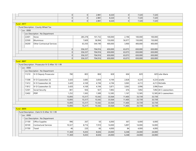|                                                    |                                               |                                 |                                       | 0      | 0        | 2,981   | 8,320   | $\overline{0}$ | 7,320   | 7,320      |                          |  |
|----------------------------------------------------|-----------------------------------------------|---------------------------------|---------------------------------------|--------|----------|---------|---------|----------------|---------|------------|--------------------------|--|
|                                                    |                                               |                                 |                                       | 0      | $\Omega$ | 2,981   | 8,320   | 0              | 7,320   | 7,320      |                          |  |
|                                                    |                                               |                                 |                                       | 0      | 0        | 2,981   | 8,320   | 0              | 7,320   | 7,320      |                          |  |
| <b>Fund: 4977</b>                                  |                                               |                                 |                                       |        |          |         |         |                |         |            |                          |  |
|                                                    |                                               |                                 | - Fund Description : County Wheel Tax |        |          |         |         |                |         |            |                          |  |
|                                                    |                                               | $-$ Loc : 0000                  |                                       |        |          |         |         |                |         |            |                          |  |
|                                                    |                                               |                                 | Loc Description : No Department       |        |          |         |         |                |         |            |                          |  |
|                                                    |                                               | 22401                           | Stone                                 |        | 285,378  | 101,732 | 100,000 | 2,196          | 100,000 | 100,000    |                          |  |
|                                                    |                                               | 22500                           | <b>Bituminous</b>                     |        | 7,609    | 58,994  | 150,000 | 56,977         | 150,000 | 150,000    |                          |  |
|                                                    |                                               | 34200                           | <b>Other Contractual Services</b>     |        | 63,350   | 544,190 | 400,000 | 3,900          | 400,000 | 400,000    |                          |  |
|                                                    |                                               |                                 |                                       | 0      | 356,337  | 704,916 | 650,000 | 63,073         | 650,000 | 650,000    |                          |  |
|                                                    |                                               |                                 |                                       | 0      | 356,337  | 704,916 | 650,000 | 63,073         | 650,000 | 650,000    |                          |  |
|                                                    |                                               |                                 |                                       | 0      | 356,337  | 704,916 | 650,000 | 63,073         | 650,000 | 650,000    |                          |  |
|                                                    |                                               |                                 |                                       | 0      | 356,337  | 704,916 | 650,000 | 63,073         | 650,000 | 650,000    |                          |  |
|                                                    |                                               | <b>Fund: 8897</b>               |                                       |        |          |         |         |                |         |            |                          |  |
| - Fund Description : Prosecutor IV-D After 10-1-99 |                                               |                                 |                                       |        |          |         |         |                |         |            |                          |  |
|                                                    |                                               | $-$ Loc : 0000                  |                                       |        |          |         |         |                |         |            |                          |  |
|                                                    |                                               |                                 | Loc Description : No Department       |        |          |         |         |                |         |            |                          |  |
|                                                    |                                               | 11210                           | IV-D Deputy Prosecutor                | 780    | 803      | 804     | 828     | 604            | 829     |            | 829 Julie-Marie          |  |
|                                                    |                                               | 11308                           | IV-D Caseworker (3)                   | 3,420  | 3,685    | 3,834   | 4,194   | 2,828          | 4,224   |            | $4,224$ Janelle          |  |
|                                                    |                                               | 11412                           | IV-D Caseworker (4)                   | 3,420  | 4,169    | 4,194   | 4,194   | 3,065          | 4,213   |            | 4.213 Michelle           |  |
|                                                    |                                               | 11812                           | IV-D Caseworker (5)                   | 3,420  | 4,169    | 4,194   | 3,871   | 3,065          | 3,996   | 3,996 Fawn |                          |  |
|                                                    |                                               | 12301                           | Social Security                       | 801    | 926      | 927     | 7,892   | 676            | 7,892   |            | 7,892 All 3 caseworkers  |  |
|                                                    |                                               | 12402                           | PERF                                  | 1,252  | 1,565    | 1,589   | 12,585  | 1,167          | 12,585  |            | 12,585 All 3 caseworkers |  |
|                                                    |                                               |                                 |                                       | 13,093 | 15,317   | 15,542  | 33,564  | 11,405         | 33,739  | 33,739     |                          |  |
|                                                    |                                               |                                 |                                       | 13,093 | 15,317   | 15,542  | 33,564  | 11,405         | 33,739  | 33,739     |                          |  |
|                                                    |                                               |                                 |                                       | 13,093 | 15,317   | 15,542  | 33,564  | 11,405         | 33,739  | 33,739     |                          |  |
|                                                    |                                               |                                 |                                       | 13,093 | 15,317   | 15,542  | 33,564  | 11,405         | 33,739  | 33,739     |                          |  |
|                                                    |                                               | <b>Fund: 8899</b>               |                                       |        |          |         |         |                |         |            |                          |  |
|                                                    | - Fund Description : Clerk IV-D After 10-1-99 |                                 |                                       |        |          |         |         |                |         |            |                          |  |
|                                                    |                                               | $-$ Loc : 0000                  |                                       |        |          |         |         |                |         |            |                          |  |
|                                                    |                                               | Loc Description : No Department |                                       |        |          |         |         |                |         |            |                          |  |
|                                                    |                                               | 21100                           | Office Supplies                       | 996    | 267      | 50      | 6,000   | 367            | 6,000   | 6,000      |                          |  |
|                                                    |                                               | 30100                           | <b>Contractural Services</b>          | 10,327 | 8,716    | 7,910   | 14,000  | 5,897          | 14,000  | 14,000     |                          |  |
|                                                    |                                               | 31700                           | Travel                                | 46     | 220      | 66      | 4,000   | 84             | 4,000   | 4,000      |                          |  |
|                                                    |                                               |                                 |                                       | 11,369 | 9,203    | 8,026   | 24,000  | 6,348          | 24,000  | 24,000     |                          |  |
|                                                    |                                               |                                 |                                       | 11,369 | 9,203    | 8,026   | 24,000  | 6,348          | 24,000  | 24,000     |                          |  |